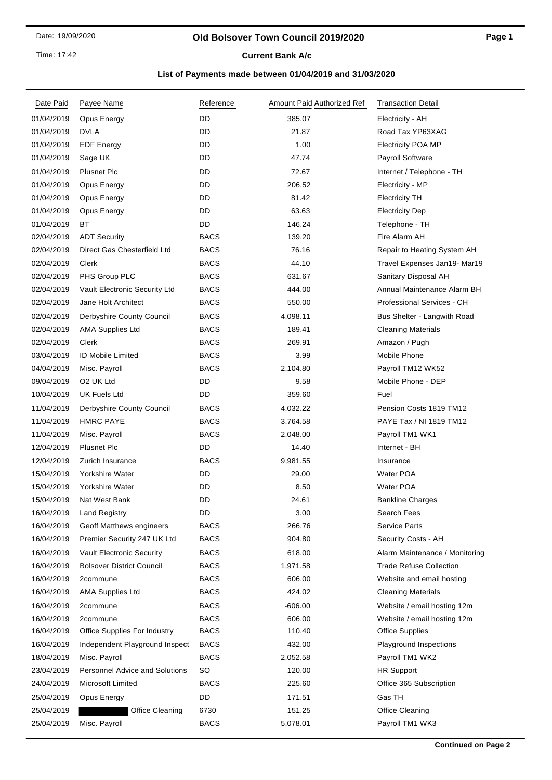### **Old Bolsover Town Council 2019/2020**

**Current Bank A/c** 

| Date Paid  | Payee Name                            | Reference   | Amount Paid Authorized Ref | <b>Transaction Detail</b>      |
|------------|---------------------------------------|-------------|----------------------------|--------------------------------|
| 01/04/2019 | Opus Energy                           | DD          | 385.07                     | Electricity - AH               |
| 01/04/2019 | <b>DVLA</b>                           | DD          | 21.87                      | Road Tax YP63XAG               |
| 01/04/2019 | <b>EDF Energy</b>                     | DD          | 1.00                       | <b>Electricity POA MP</b>      |
| 01/04/2019 | Sage UK                               | DD          | 47.74                      | <b>Payroll Software</b>        |
| 01/04/2019 | <b>Plusnet Plc</b>                    | DD          | 72.67                      | Internet / Telephone - TH      |
| 01/04/2019 | Opus Energy                           | <b>DD</b>   | 206.52                     | Electricity - MP               |
| 01/04/2019 | Opus Energy                           | DD          | 81.42                      | <b>Electricity TH</b>          |
| 01/04/2019 | Opus Energy                           | DD          | 63.63                      | <b>Electricity Dep</b>         |
| 01/04/2019 | BT.                                   | DD          | 146.24                     | Telephone - TH                 |
| 02/04/2019 | <b>ADT Security</b>                   | <b>BACS</b> | 139.20                     | Fire Alarm AH                  |
| 02/04/2019 | Direct Gas Chesterfield Ltd           | <b>BACS</b> | 76.16                      | Repair to Heating System AH    |
| 02/04/2019 | Clerk                                 | <b>BACS</b> | 44.10                      | Travel Expenses Jan19- Mar19   |
| 02/04/2019 | PHS Group PLC                         | <b>BACS</b> | 631.67                     | Sanitary Disposal AH           |
| 02/04/2019 | <b>Vault Electronic Security Ltd</b>  | <b>BACS</b> | 444.00                     | Annual Maintenance Alarm BH    |
| 02/04/2019 | Jane Holt Architect                   | <b>BACS</b> | 550.00                     | Professional Services - CH     |
| 02/04/2019 | Derbyshire County Council             | <b>BACS</b> | 4,098.11                   | Bus Shelter - Langwith Road    |
| 02/04/2019 | <b>AMA Supplies Ltd</b>               | <b>BACS</b> | 189.41                     | <b>Cleaning Materials</b>      |
| 02/04/2019 | Clerk                                 | <b>BACS</b> | 269.91                     | Amazon / Pugh                  |
| 03/04/2019 | <b>ID Mobile Limited</b>              | <b>BACS</b> | 3.99                       | Mobile Phone                   |
| 04/04/2019 | Misc. Payroll                         | <b>BACS</b> | 2,104.80                   | Payroll TM12 WK52              |
| 09/04/2019 | O <sub>2</sub> UK Ltd                 | DD          | 9.58                       | Mobile Phone - DEP             |
| 10/04/2019 | <b>UK Fuels Ltd</b>                   | DD          | 359.60                     | Fuel                           |
| 11/04/2019 | Derbyshire County Council             | <b>BACS</b> | 4,032.22                   | Pension Costs 1819 TM12        |
| 11/04/2019 | <b>HMRC PAYE</b>                      | <b>BACS</b> | 3,764.58                   | PAYE Tax / NI 1819 TM12        |
| 11/04/2019 | Misc. Payroll                         | <b>BACS</b> | 2,048.00                   | Payroll TM1 WK1                |
| 12/04/2019 | <b>Plusnet Plc</b>                    | DD          | 14.40                      | Internet - BH                  |
| 12/04/2019 | Zurich Insurance                      | <b>BACS</b> | 9,981.55                   | Insurance                      |
| 15/04/2019 | Yorkshire Water                       | DD          | 29.00                      | <b>Water POA</b>               |
| 15/04/2019 | Yorkshire Water                       | DD          | 8.50                       | Water POA                      |
| 15/04/2019 | Nat West Bank                         | DD          | 24.61                      | <b>Bankline Charges</b>        |
| 16/04/2019 | <b>Land Registry</b>                  | DD          | 3.00                       | Search Fees                    |
| 16/04/2019 | <b>Geoff Matthews engineers</b>       | <b>BACS</b> | 266.76                     | <b>Service Parts</b>           |
| 16/04/2019 | Premier Security 247 UK Ltd           | <b>BACS</b> | 904.80                     | Security Costs - AH            |
| 16/04/2019 | <b>Vault Electronic Security</b>      | <b>BACS</b> | 618.00                     | Alarm Maintenance / Monitoring |
| 16/04/2019 | <b>Bolsover District Council</b>      | <b>BACS</b> | 1,971.58                   | <b>Trade Refuse Collection</b> |
| 16/04/2019 | 2commune                              | <b>BACS</b> | 606.00                     | Website and email hosting      |
| 16/04/2019 | <b>AMA Supplies Ltd</b>               | <b>BACS</b> | 424.02                     | <b>Cleaning Materials</b>      |
| 16/04/2019 | 2commune                              | <b>BACS</b> | $-606.00$                  | Website / email hosting 12m    |
| 16/04/2019 | 2commune                              | <b>BACS</b> | 606.00                     | Website / email hosting 12m    |
| 16/04/2019 | Office Supplies For Industry          | <b>BACS</b> | 110.40                     | <b>Office Supplies</b>         |
| 16/04/2019 | Independent Playground Inspect        | <b>BACS</b> | 432.00                     | Playground Inspections         |
| 18/04/2019 | Misc. Payroll                         | <b>BACS</b> | 2,052.58                   | Payroll TM1 WK2                |
| 23/04/2019 | <b>Personnel Advice and Solutions</b> | <b>SO</b>   | 120.00                     | <b>HR Support</b>              |
| 24/04/2019 | Microsoft Limited                     | <b>BACS</b> | 225.60                     | Office 365 Subscription        |
| 25/04/2019 | Opus Energy                           | DD          | 171.51                     | Gas TH                         |
| 25/04/2019 | <b>Office Cleaning</b>                | 6730        | 151.25                     | Office Cleaning                |
| 25/04/2019 | Misc. Payroll                         | <b>BACS</b> | 5,078.01                   | Payroll TM1 WK3                |
|            |                                       |             |                            |                                |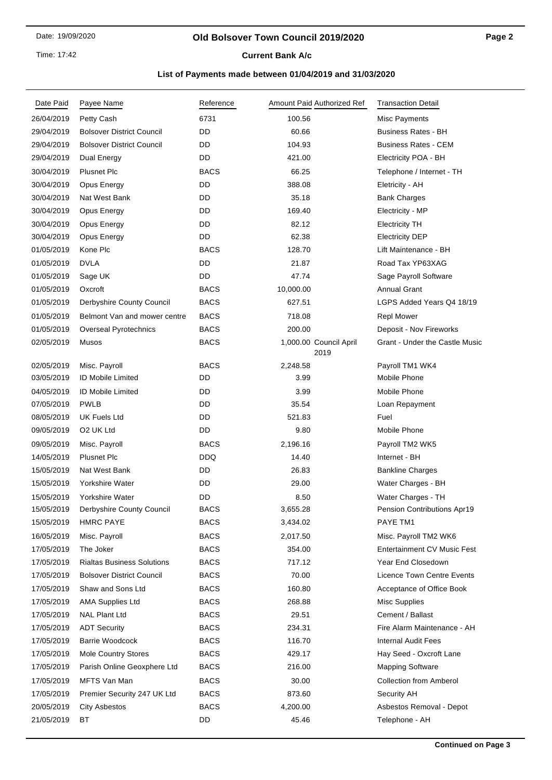Time: 17:42

# **Current Bank A/c**

| Date Paid  | Payee Name                        | Reference   | Amount Paid Authorized Ref     | <b>Transaction Detail</b>          |
|------------|-----------------------------------|-------------|--------------------------------|------------------------------------|
| 26/04/2019 | Petty Cash                        | 6731        | 100.56                         | Misc Payments                      |
| 29/04/2019 | <b>Bolsover District Council</b>  | DD          | 60.66                          | <b>Business Rates - BH</b>         |
| 29/04/2019 | <b>Bolsover District Council</b>  | DD          | 104.93                         | <b>Business Rates - CEM</b>        |
| 29/04/2019 | Dual Energy                       | DD          | 421.00                         | Electricity POA - BH               |
| 30/04/2019 | <b>Plusnet Plc</b>                | <b>BACS</b> | 66.25                          | Telephone / Internet - TH          |
| 30/04/2019 | Opus Energy                       | DD          | 388.08                         | Eletricity - AH                    |
| 30/04/2019 | Nat West Bank                     | DD          | 35.18                          | <b>Bank Charges</b>                |
| 30/04/2019 | Opus Energy                       | DD          | 169.40                         | Electricity - MP                   |
| 30/04/2019 | Opus Energy                       | DD          | 82.12                          | <b>Electricity TH</b>              |
| 30/04/2019 | Opus Energy                       | DD          | 62.38                          | <b>Electricity DEP</b>             |
| 01/05/2019 | Kone Plc                          | <b>BACS</b> | 128.70                         | Lift Maintenance - BH              |
| 01/05/2019 | <b>DVLA</b>                       | DD          | 21.87                          | Road Tax YP63XAG                   |
| 01/05/2019 | Sage UK                           | DD          | 47.74                          | Sage Payroll Software              |
| 01/05/2019 | Oxcroft                           | <b>BACS</b> | 10,000.00                      | <b>Annual Grant</b>                |
| 01/05/2019 | Derbyshire County Council         | <b>BACS</b> | 627.51                         | LGPS Added Years Q4 18/19          |
| 01/05/2019 | Belmont Van and mower centre      | <b>BACS</b> | 718.08                         | <b>Repl Mower</b>                  |
| 01/05/2019 | Overseal Pyrotechnics             | <b>BACS</b> | 200.00                         | Deposit - Nov Fireworks            |
| 02/05/2019 | Musos                             | <b>BACS</b> | 1,000.00 Council April<br>2019 | Grant - Under the Castle Music     |
| 02/05/2019 | Misc. Payroll                     | <b>BACS</b> | 2,248.58                       | Payroll TM1 WK4                    |
| 03/05/2019 | <b>ID Mobile Limited</b>          | DD          | 3.99                           | Mobile Phone                       |
| 04/05/2019 | <b>ID Mobile Limited</b>          | DD          | 3.99                           | Mobile Phone                       |
| 07/05/2019 | <b>PWLB</b>                       | DD          | 35.54                          | Loan Repayment                     |
| 08/05/2019 | UK Fuels Ltd                      | DD          | 521.83                         | Fuel                               |
| 09/05/2019 | O <sub>2</sub> UK Ltd             | DD          | 9.80                           | Mobile Phone                       |
| 09/05/2019 | Misc. Payroll                     | <b>BACS</b> | 2,196.16                       | Payroll TM2 WK5                    |
| 14/05/2019 | <b>Plusnet Plc</b>                | <b>DDQ</b>  | 14.40                          | Internet - BH                      |
| 15/05/2019 | Nat West Bank                     | DD          | 26.83                          | <b>Bankline Charges</b>            |
| 15/05/2019 | Yorkshire Water                   | DD          | 29.00                          | Water Charges - BH                 |
| 15/05/2019 | Yorkshire Water                   | DD          | 8.50                           | Water Charges - TH                 |
| 15/05/2019 | Derbyshire County Council         | <b>BACS</b> | 3,655.28                       | Pension Contributions Apr19        |
| 15/05/2019 | <b>HMRC PAYE</b>                  | <b>BACS</b> | 3,434.02                       | PAYE TM1                           |
| 16/05/2019 | Misc. Payroll                     | <b>BACS</b> | 2,017.50                       | Misc. Payroll TM2 WK6              |
| 17/05/2019 | The Joker                         | <b>BACS</b> | 354.00                         | <b>Entertainment CV Music Fest</b> |
| 17/05/2019 | <b>Rialtas Business Solutions</b> | BACS        | 717.12                         | Year End Closedown                 |
| 17/05/2019 | <b>Bolsover District Council</b>  | <b>BACS</b> | 70.00                          | <b>Licence Town Centre Events</b>  |
| 17/05/2019 | Shaw and Sons Ltd                 | <b>BACS</b> | 160.80                         | Acceptance of Office Book          |
| 17/05/2019 | <b>AMA Supplies Ltd</b>           | <b>BACS</b> | 268.88                         | <b>Misc Supplies</b>               |
| 17/05/2019 | <b>NAL Plant Ltd</b>              | <b>BACS</b> | 29.51                          | Cement / Ballast                   |
| 17/05/2019 | <b>ADT Security</b>               | <b>BACS</b> | 234.31                         | Fire Alarm Maintenance - AH        |
| 17/05/2019 | Barrie Woodcock                   | <b>BACS</b> | 116.70                         | <b>Internal Audit Fees</b>         |
| 17/05/2019 | <b>Mole Country Stores</b>        | BACS        | 429.17                         | Hay Seed - Oxcroft Lane            |
| 17/05/2019 | Parish Online Geoxphere Ltd       | <b>BACS</b> | 216.00                         | <b>Mapping Software</b>            |
| 17/05/2019 | MFTS Van Man                      | <b>BACS</b> | 30.00                          | <b>Collection from Amberol</b>     |
| 17/05/2019 | Premier Security 247 UK Ltd       | <b>BACS</b> | 873.60                         | Security AH                        |
| 20/05/2019 | City Asbestos                     | <b>BACS</b> | 4,200.00                       | Asbestos Removal - Depot           |
| 21/05/2019 | ВT                                | DD          | 45.46                          | Telephone - AH                     |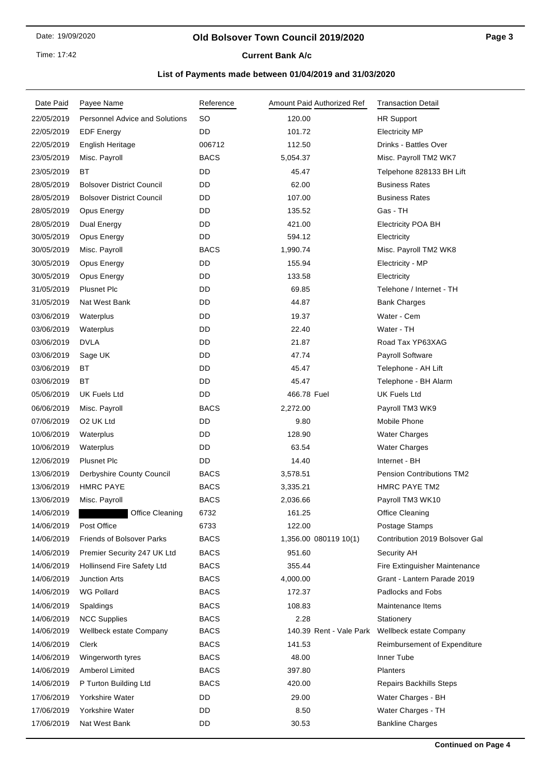Time: 17:42

# **Current Bank A/c**

| Date Paid  | Payee Name                            | Reference   |             | Amount Paid Authorized Ref | <b>Transaction Detail</b>        |
|------------|---------------------------------------|-------------|-------------|----------------------------|----------------------------------|
| 22/05/2019 | <b>Personnel Advice and Solutions</b> | <b>SO</b>   | 120.00      |                            | HR Support                       |
| 22/05/2019 | <b>EDF Energy</b>                     | <b>DD</b>   | 101.72      |                            | <b>Electricity MP</b>            |
| 22/05/2019 | English Heritage                      | 006712      | 112.50      |                            | Drinks - Battles Over            |
| 23/05/2019 | Misc. Payroll                         | <b>BACS</b> | 5,054.37    |                            | Misc. Payroll TM2 WK7            |
| 23/05/2019 | ВT                                    | DD          | 45.47       |                            | Telpehone 828133 BH Lift         |
| 28/05/2019 | <b>Bolsover District Council</b>      | DD          | 62.00       |                            | <b>Business Rates</b>            |
| 28/05/2019 | <b>Bolsover District Council</b>      | <b>DD</b>   | 107.00      |                            | <b>Business Rates</b>            |
| 28/05/2019 | Opus Energy                           | DD          | 135.52      |                            | Gas - TH                         |
| 28/05/2019 | Dual Energy                           | DD          | 421.00      |                            | <b>Electricity POA BH</b>        |
| 30/05/2019 | Opus Energy                           | <b>DD</b>   | 594.12      |                            | Electricity                      |
| 30/05/2019 | Misc. Payroll                         | <b>BACS</b> | 1,990.74    |                            | Misc. Payroll TM2 WK8            |
| 30/05/2019 | Opus Energy                           | DD          | 155.94      |                            | Electricity - MP                 |
| 30/05/2019 | Opus Energy                           | <b>DD</b>   | 133.58      |                            | Electricity                      |
| 31/05/2019 | <b>Plusnet Plc</b>                    | DD          | 69.85       |                            | Telehone / Internet - TH         |
| 31/05/2019 | Nat West Bank                         | DD          | 44.87       |                            | <b>Bank Charges</b>              |
| 03/06/2019 | Waterplus                             | DD          | 19.37       |                            | Water - Cem                      |
| 03/06/2019 | Waterplus                             | DD          | 22.40       |                            | Water - TH                       |
| 03/06/2019 | <b>DVLA</b>                           | <b>DD</b>   | 21.87       |                            | Road Tax YP63XAG                 |
| 03/06/2019 | Sage UK                               | DD          | 47.74       |                            | Payroll Software                 |
| 03/06/2019 | ВT                                    | DD          | 45.47       |                            | Telephone - AH Lift              |
| 03/06/2019 | BT                                    | <b>DD</b>   | 45.47       |                            | Telephone - BH Alarm             |
| 05/06/2019 | <b>UK Fuels Ltd</b>                   | DD          | 466.78 Fuel |                            | <b>UK Fuels Ltd</b>              |
| 06/06/2019 | Misc. Payroll                         | <b>BACS</b> | 2,272.00    |                            | Payroll TM3 WK9                  |
| 07/06/2019 | O <sub>2</sub> UK Ltd                 | DD.         | 9.80        |                            | Mobile Phone                     |
| 10/06/2019 | Waterplus                             | DD          | 128.90      |                            | <b>Water Charges</b>             |
| 10/06/2019 | Waterplus                             | DD          | 63.54       |                            | <b>Water Charges</b>             |
| 12/06/2019 | <b>Plusnet Plc</b>                    | DD          | 14.40       |                            | Internet - BH                    |
| 13/06/2019 | Derbyshire County Council             | <b>BACS</b> | 3,578.51    |                            | <b>Pension Contributions TM2</b> |
| 13/06/2019 | <b>HMRC PAYE</b>                      | <b>BACS</b> | 3,335.21    |                            | <b>HMRC PAYE TM2</b>             |
| 13/06/2019 | Misc. Payroll                         | <b>BACS</b> | 2,036.66    |                            | Payroll TM3 WK10                 |
| 14/06/2019 | Office Cleaning                       | 6732        | 161.25      |                            | Office Cleaning                  |
| 14/06/2019 | Post Office                           | 6733        | 122.00      |                            | Postage Stamps                   |
| 14/06/2019 | <b>Friends of Bolsover Parks</b>      | <b>BACS</b> |             | 1,356.00 080119 10(1)      | Contribution 2019 Bolsover Gal   |
| 14/06/2019 | Premier Security 247 UK Ltd           | <b>BACS</b> | 951.60      |                            | Security AH                      |
| 14/06/2019 | <b>Hollinsend Fire Safety Ltd</b>     | <b>BACS</b> | 355.44      |                            | Fire Extinguisher Maintenance    |
| 14/06/2019 | <b>Junction Arts</b>                  | <b>BACS</b> | 4,000.00    |                            | Grant - Lantern Parade 2019      |
| 14/06/2019 | <b>WG Pollard</b>                     | <b>BACS</b> | 172.37      |                            | Padlocks and Fobs                |
| 14/06/2019 | Spaldings                             | <b>BACS</b> | 108.83      |                            | Maintenance Items                |
| 14/06/2019 | <b>NCC Supplies</b>                   | <b>BACS</b> | 2.28        |                            | Stationery                       |
| 14/06/2019 | Wellbeck estate Company               | <b>BACS</b> |             | 140.39 Rent - Vale Park    | Wellbeck estate Company          |
| 14/06/2019 | Clerk                                 | <b>BACS</b> | 141.53      |                            | Reimbursement of Expenditure     |
| 14/06/2019 | Wingerworth tyres                     | <b>BACS</b> | 48.00       |                            | Inner Tube                       |
| 14/06/2019 | Amberol Limited                       | <b>BACS</b> | 397.80      |                            | Planters                         |
| 14/06/2019 | P Turton Building Ltd                 | <b>BACS</b> | 420.00      |                            | Repairs Backhills Steps          |
| 17/06/2019 | Yorkshire Water                       | DD          | 29.00       |                            | Water Charges - BH               |
| 17/06/2019 | Yorkshire Water                       | DD          | 8.50        |                            | Water Charges - TH               |
| 17/06/2019 | Nat West Bank                         | DD          | 30.53       |                            | <b>Bankline Charges</b>          |
|            |                                       |             |             |                            |                                  |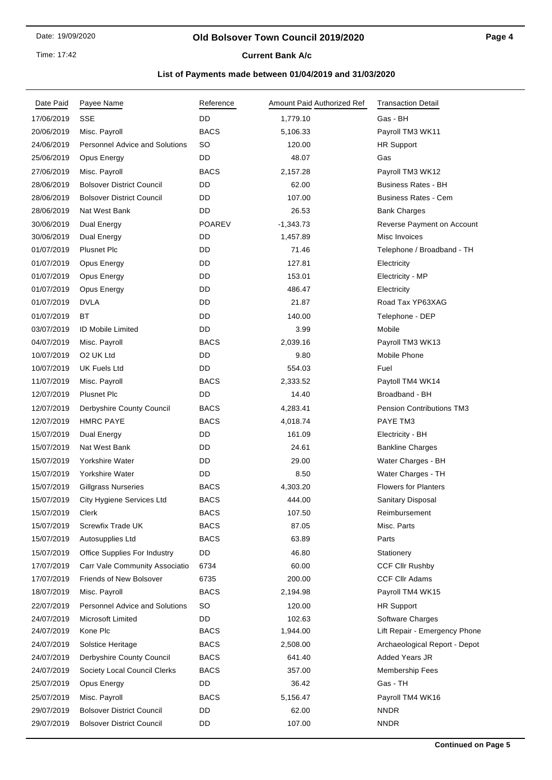### **Old Bolsover Town Council 2019/2020**

## **Current Bank A/c**

| Date Paid  | Payee Name                            | Reference     | Amount Paid Authorized Ref | <b>Transaction Detail</b>        |
|------------|---------------------------------------|---------------|----------------------------|----------------------------------|
| 17/06/2019 | <b>SSE</b>                            | DD            | 1,779.10                   | Gas - BH                         |
| 20/06/2019 | Misc. Payroll                         | <b>BACS</b>   | 5,106.33                   | Payroll TM3 WK11                 |
| 24/06/2019 | <b>Personnel Advice and Solutions</b> | SO            | 120.00                     | <b>HR Support</b>                |
| 25/06/2019 | Opus Energy                           | DD            | 48.07                      | Gas                              |
| 27/06/2019 | Misc. Payroll                         | <b>BACS</b>   | 2,157.28                   | Payroll TM3 WK12                 |
| 28/06/2019 | <b>Bolsover District Council</b>      | DD            | 62.00                      | <b>Business Rates - BH</b>       |
| 28/06/2019 | <b>Bolsover District Council</b>      | DD            | 107.00                     | <b>Business Rates - Cem</b>      |
| 28/06/2019 | Nat West Bank                         | DD            | 26.53                      | <b>Bank Charges</b>              |
| 30/06/2019 | Dual Energy                           | <b>POAREV</b> | $-1,343.73$                | Reverse Payment on Account       |
| 30/06/2019 | Dual Energy                           | DD            | 1,457.89                   | Misc Invoices                    |
| 01/07/2019 | <b>Plusnet Plc</b>                    | DD            | 71.46                      | Telephone / Broadband - TH       |
| 01/07/2019 | Opus Energy                           | DD            | 127.81                     | Electricity                      |
| 01/07/2019 | Opus Energy                           | DD            | 153.01                     | Electricity - MP                 |
| 01/07/2019 | Opus Energy                           | DD            | 486.47                     | Electricity                      |
| 01/07/2019 | <b>DVLA</b>                           | DD            | 21.87                      | Road Tax YP63XAG                 |
| 01/07/2019 | BT                                    | DD            | 140.00                     | Telephone - DEP                  |
| 03/07/2019 | <b>ID Mobile Limited</b>              | DD            | 3.99                       | Mobile                           |
| 04/07/2019 | Misc. Payroll                         | <b>BACS</b>   | 2,039.16                   | Payroll TM3 WK13                 |
| 10/07/2019 | O <sub>2</sub> UK Ltd                 | DD            | 9.80                       | Mobile Phone                     |
| 10/07/2019 | <b>UK Fuels Ltd</b>                   | DD            | 554.03                     | Fuel                             |
| 11/07/2019 | Misc. Payroll                         | <b>BACS</b>   | 2,333.52                   | Paytoll TM4 WK14                 |
| 12/07/2019 | <b>Plusnet Plc</b>                    | DD            | 14.40                      | Broadband - BH                   |
| 12/07/2019 | Derbyshire County Council             | <b>BACS</b>   | 4,283.41                   | <b>Pension Contributions TM3</b> |
| 12/07/2019 | <b>HMRC PAYE</b>                      | <b>BACS</b>   | 4,018.74                   | PAYE TM3                         |
| 15/07/2019 | Dual Energy                           | DD            | 161.09                     | Electricity - BH                 |
| 15/07/2019 | Nat West Bank                         | DD            | 24.61                      | <b>Bankline Charges</b>          |
| 15/07/2019 | Yorkshire Water                       | DD            | 29.00                      | Water Charges - BH               |
| 15/07/2019 | Yorkshire Water                       | DD            | 8.50                       | Water Charges - TH               |
| 15/07/2019 | <b>Gillgrass Nurseries</b>            | <b>BACS</b>   | 4,303.20                   | <b>Flowers for Planters</b>      |
| 15/07/2019 | City Hygiene Services Ltd             | <b>BACS</b>   | 444.00                     | Sanitary Disposal                |
| 15/07/2019 | Clerk                                 | <b>BACS</b>   | 107.50                     | Reimbursement                    |
| 15/07/2019 | Screwfix Trade UK                     | <b>BACS</b>   | 87.05                      | Misc. Parts                      |
| 15/07/2019 | Autosupplies Ltd                      | <b>BACS</b>   | 63.89                      | Parts                            |
| 15/07/2019 | Office Supplies For Industry          | DD            | 46.80                      | Stationery                       |
| 17/07/2019 | Carr Vale Community Associatio        | 6734          | 60.00                      | <b>CCF Cllr Rushby</b>           |
| 17/07/2019 | Friends of New Bolsover               | 6735          | 200.00                     | <b>CCF Cllr Adams</b>            |
| 18/07/2019 | Misc. Payroll                         | <b>BACS</b>   | 2,194.98                   | Payroll TM4 WK15                 |
| 22/07/2019 | <b>Personnel Advice and Solutions</b> | <b>SO</b>     | 120.00                     | <b>HR Support</b>                |
| 24/07/2019 | Microsoft Limited                     | DD            | 102.63                     | Software Charges                 |
| 24/07/2019 | Kone Plc                              | <b>BACS</b>   | 1,944.00                   | Lift Repair - Emergency Phone    |
| 24/07/2019 | Solstice Heritage                     | <b>BACS</b>   | 2,508.00                   | Archaeological Report - Depot    |
| 24/07/2019 | Derbyshire County Council             | <b>BACS</b>   | 641.40                     | <b>Added Years JR</b>            |
| 24/07/2019 | Society Local Council Clerks          | <b>BACS</b>   | 357.00                     | <b>Membership Fees</b>           |
| 25/07/2019 | Opus Energy                           | DD            | 36.42                      | Gas - TH                         |
| 25/07/2019 | Misc. Payroll                         | <b>BACS</b>   | 5,156.47                   | Payroll TM4 WK16                 |
| 29/07/2019 | <b>Bolsover District Council</b>      | DD            | 62.00                      | <b>NNDR</b>                      |
| 29/07/2019 | <b>Bolsover District Council</b>      | DD            | 107.00                     | <b>NNDR</b>                      |
|            |                                       |               |                            |                                  |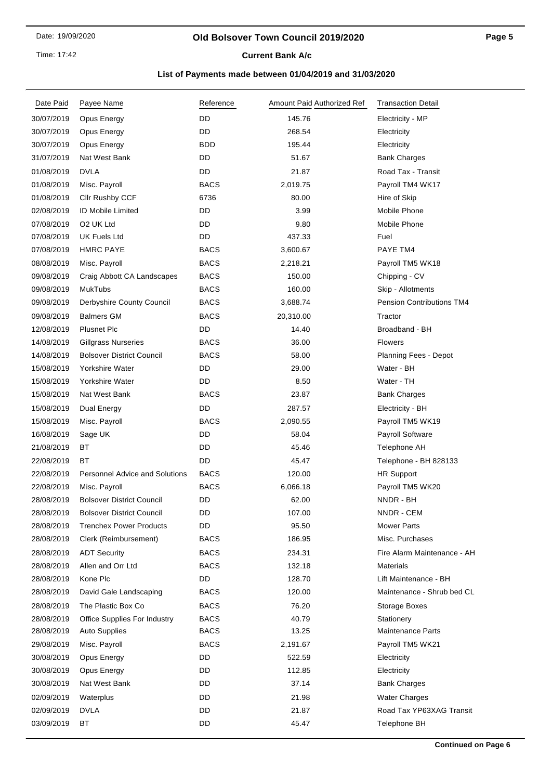### **Old Bolsover Town Council 2019/2020**

**Current Bank A/c** 

| Date Paid  | Payee Name                            | Reference   | Amount Paid Authorized Ref | <b>Transaction Detail</b>        |
|------------|---------------------------------------|-------------|----------------------------|----------------------------------|
| 30/07/2019 | Opus Energy                           | DD          | 145.76                     | Electricity - MP                 |
| 30/07/2019 | Opus Energy                           | DD          | 268.54                     | Electricity                      |
| 30/07/2019 | Opus Energy                           | <b>BDD</b>  | 195.44                     | Electricity                      |
| 31/07/2019 | Nat West Bank                         | DD          | 51.67                      | <b>Bank Charges</b>              |
| 01/08/2019 | <b>DVLA</b>                           | DD          | 21.87                      | Road Tax - Transit               |
| 01/08/2019 | Misc. Payroll                         | <b>BACS</b> | 2,019.75                   | Payroll TM4 WK17                 |
| 01/08/2019 | Cllr Rushby CCF                       | 6736        | 80.00                      | Hire of Skip                     |
| 02/08/2019 | <b>ID Mobile Limited</b>              | DD          | 3.99                       | Mobile Phone                     |
| 07/08/2019 | O <sub>2</sub> UK Ltd                 | DD          | 9.80                       | Mobile Phone                     |
| 07/08/2019 | <b>UK Fuels Ltd</b>                   | DD          | 437.33                     | Fuel                             |
| 07/08/2019 | <b>HMRC PAYE</b>                      | <b>BACS</b> | 3,600.67                   | PAYE TM4                         |
| 08/08/2019 | Misc. Payroll                         | <b>BACS</b> | 2,218.21                   | Payroll TM5 WK18                 |
| 09/08/2019 | Craig Abbott CA Landscapes            | <b>BACS</b> | 150.00                     | Chipping - CV                    |
| 09/08/2019 | <b>MukTubs</b>                        | <b>BACS</b> | 160.00                     | Skip - Allotments                |
| 09/08/2019 | Derbyshire County Council             | <b>BACS</b> | 3,688.74                   | <b>Pension Contributions TM4</b> |
| 09/08/2019 | <b>Balmers GM</b>                     | <b>BACS</b> | 20,310.00                  | Tractor                          |
| 12/08/2019 | Plusnet Plc                           | DD          | 14.40                      | Broadband - BH                   |
| 14/08/2019 | <b>Gillgrass Nurseries</b>            | <b>BACS</b> | 36.00                      | <b>Flowers</b>                   |
| 14/08/2019 | <b>Bolsover District Council</b>      | <b>BACS</b> | 58.00                      | Planning Fees - Depot            |
| 15/08/2019 | Yorkshire Water                       | DD          | 29.00                      | Water - BH                       |
| 15/08/2019 | Yorkshire Water                       | DD          | 8.50                       | Water - TH                       |
| 15/08/2019 | Nat West Bank                         | <b>BACS</b> | 23.87                      | <b>Bank Charges</b>              |
| 15/08/2019 | Dual Energy                           | DD          | 287.57                     | Electricity - BH                 |
| 15/08/2019 | Misc. Payroll                         | <b>BACS</b> | 2,090.55                   | Payroll TM5 WK19                 |
| 16/08/2019 | Sage UK                               | DD          | 58.04                      | Payroll Software                 |
| 21/08/2019 | ВT                                    | DD          | 45.46                      | Telephone AH                     |
| 22/08/2019 | ВT                                    | DD          | 45.47                      | Telephone - BH 828133            |
| 22/08/2019 | <b>Personnel Advice and Solutions</b> | <b>BACS</b> | 120.00                     | <b>HR Support</b>                |
| 22/08/2019 | Misc. Payroll                         | <b>BACS</b> | 6,066.18                   | Payroll TM5 WK20                 |
| 28/08/2019 | <b>Bolsover District Council</b>      | DD          | 62.00                      | NNDR - BH                        |
| 28/08/2019 | <b>Bolsover District Council</b>      | DD          | 107.00                     | NNDR - CEM                       |
| 28/08/2019 | <b>Trenchex Power Products</b>        | DD          | 95.50                      | <b>Mower Parts</b>               |
| 28/08/2019 | Clerk (Reimbursement)                 | <b>BACS</b> | 186.95                     | Misc. Purchases                  |
| 28/08/2019 | <b>ADT Security</b>                   | <b>BACS</b> | 234.31                     | Fire Alarm Maintenance - AH      |
| 28/08/2019 | Allen and Orr Ltd                     | <b>BACS</b> | 132.18                     | <b>Materials</b>                 |
| 28/08/2019 | Kone Plc                              | DD          | 128.70                     | Lift Maintenance - BH            |
| 28/08/2019 | David Gale Landscaping                | <b>BACS</b> | 120.00                     | Maintenance - Shrub bed CL       |
| 28/08/2019 | The Plastic Box Co                    | <b>BACS</b> | 76.20                      | <b>Storage Boxes</b>             |
| 28/08/2019 | Office Supplies For Industry          | <b>BACS</b> | 40.79                      | Stationery                       |
| 28/08/2019 | <b>Auto Supplies</b>                  | BACS        | 13.25                      | <b>Maintenance Parts</b>         |
| 29/08/2019 | Misc. Payroll                         | <b>BACS</b> | 2,191.67                   | Payroll TM5 WK21                 |
| 30/08/2019 | Opus Energy                           | DD          | 522.59                     | Electricity                      |
| 30/08/2019 | Opus Energy                           | DD          | 112.85                     | Electricity                      |
| 30/08/2019 | Nat West Bank                         | DD          | 37.14                      | <b>Bank Charges</b>              |
| 02/09/2019 | Waterplus                             | DD          | 21.98                      | <b>Water Charges</b>             |
| 02/09/2019 | <b>DVLA</b>                           | DD          | 21.87                      | Road Tax YP63XAG Transit         |
| 03/09/2019 | ВT                                    | DD          | 45.47                      | Telephone BH                     |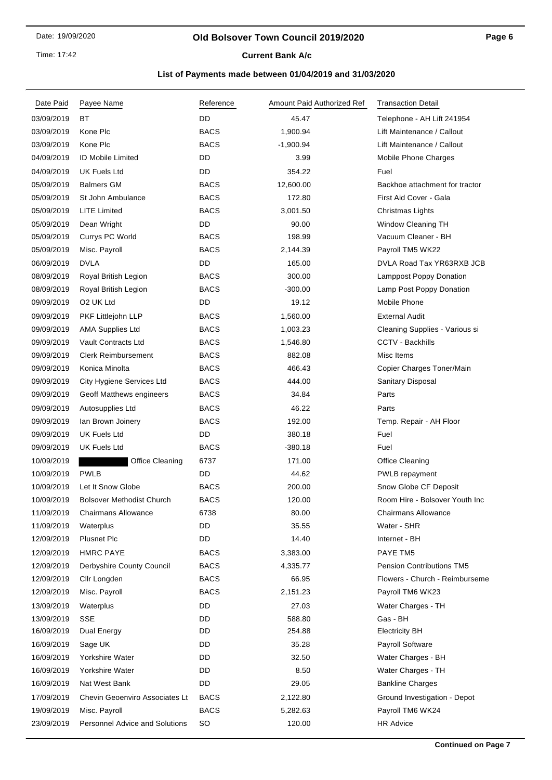Time: 17:42

# **Current Bank A/c**

| Date Paid  | Payee Name                            | Reference   | Amount Paid Authorized Ref | <b>Transaction Detail</b>        |
|------------|---------------------------------------|-------------|----------------------------|----------------------------------|
| 03/09/2019 | ВT                                    | DD          | 45.47                      | Telephone - AH Lift 241954       |
| 03/09/2019 | Kone Plc                              | <b>BACS</b> | 1,900.94                   | Lift Maintenance / Callout       |
| 03/09/2019 | Kone Plc                              | <b>BACS</b> | $-1,900.94$                | Lift Maintenance / Callout       |
| 04/09/2019 | <b>ID Mobile Limited</b>              | DD          | 3.99                       | Mobile Phone Charges             |
| 04/09/2019 | UK Fuels Ltd                          | DD          | 354.22                     | Fuel                             |
| 05/09/2019 | <b>Balmers GM</b>                     | <b>BACS</b> | 12,600.00                  | Backhoe attachment for tractor   |
| 05/09/2019 | St John Ambulance                     | <b>BACS</b> | 172.80                     | First Aid Cover - Gala           |
| 05/09/2019 | <b>LITE Limited</b>                   | <b>BACS</b> | 3,001.50                   | Christmas Lights                 |
| 05/09/2019 | Dean Wright                           | DD          | 90.00                      | Window Cleaning TH               |
| 05/09/2019 | Currys PC World                       | <b>BACS</b> | 198.99                     | Vacuum Cleaner - BH              |
| 05/09/2019 | Misc. Payroll                         | <b>BACS</b> | 2,144.39                   | Payroll TM5 WK22                 |
| 06/09/2019 | <b>DVLA</b>                           | DD          | 165.00                     | DVLA Road Tax YR63RXB JCB        |
| 08/09/2019 | Royal British Legion                  | <b>BACS</b> | 300.00                     | Lamppost Poppy Donation          |
| 08/09/2019 | Royal British Legion                  | <b>BACS</b> | $-300.00$                  | Lamp Post Poppy Donation         |
| 09/09/2019 | O <sub>2</sub> UK Ltd                 | DD          | 19.12                      | Mobile Phone                     |
| 09/09/2019 | PKF Littlejohn LLP                    | <b>BACS</b> | 1,560.00                   | <b>External Audit</b>            |
| 09/09/2019 | <b>AMA Supplies Ltd</b>               | <b>BACS</b> | 1,003.23                   | Cleaning Supplies - Various si   |
| 09/09/2019 | <b>Vault Contracts Ltd</b>            | <b>BACS</b> | 1,546.80                   | CCTV - Backhills                 |
| 09/09/2019 | <b>Clerk Reimbursement</b>            | <b>BACS</b> | 882.08                     | Misc Items                       |
| 09/09/2019 | Konica Minolta                        | <b>BACS</b> | 466.43                     | Copier Charges Toner/Main        |
| 09/09/2019 | City Hygiene Services Ltd             | <b>BACS</b> | 444.00                     | Sanitary Disposal                |
| 09/09/2019 | Geoff Matthews engineers              | <b>BACS</b> | 34.84                      | Parts                            |
| 09/09/2019 | Autosupplies Ltd                      | <b>BACS</b> | 46.22                      | Parts                            |
| 09/09/2019 | lan Brown Joinery                     | <b>BACS</b> | 192.00                     | Temp. Repair - AH Floor          |
| 09/09/2019 | <b>UK Fuels Ltd</b>                   | DD          | 380.18                     | Fuel                             |
| 09/09/2019 | UK Fuels Ltd                          | <b>BACS</b> | $-380.18$                  | Fuel                             |
| 10/09/2019 | <b>Office Cleaning</b>                | 6737        | 171.00                     | <b>Office Cleaning</b>           |
| 10/09/2019 | <b>PWLB</b>                           | DD          | 44.62                      | PWLB repayment                   |
| 10/09/2019 | Let It Snow Globe                     | <b>BACS</b> | 200.00                     | Snow Globe CF Deposit            |
| 10/09/2019 | <b>Bolsover Methodist Church</b>      | <b>BACS</b> | 120.00                     | Room Hire - Bolsover Youth Inc   |
| 11/09/2019 | <b>Chairmans Allowance</b>            | 6738        | 80.00                      | <b>Chairmans Allowance</b>       |
| 11/09/2019 | Waterplus                             | DD          | 35.55                      | Water - SHR                      |
| 12/09/2019 | <b>Plusnet Plc</b>                    | DD          | 14.40                      | Internet - BH                    |
| 12/09/2019 | <b>HMRC PAYE</b>                      | <b>BACS</b> | 3,383.00                   | <b>PAYE TM5</b>                  |
| 12/09/2019 | Derbyshire County Council             | <b>BACS</b> | 4,335.77                   | <b>Pension Contributions TM5</b> |
| 12/09/2019 | Cllr Longden                          | <b>BACS</b> | 66.95                      | Flowers - Church - Reimburseme   |
| 12/09/2019 | Misc. Payroll                         | <b>BACS</b> | 2,151.23                   | Payroll TM6 WK23                 |
| 13/09/2019 | Waterplus                             | DD          | 27.03                      | Water Charges - TH               |
| 13/09/2019 | <b>SSE</b>                            | DD          | 588.80                     | Gas - BH                         |
| 16/09/2019 | Dual Energy                           | DD          | 254.88                     | <b>Electricity BH</b>            |
| 16/09/2019 | Sage UK                               | DD          | 35.28                      | <b>Payroll Software</b>          |
| 16/09/2019 | Yorkshire Water                       | DD          | 32.50                      | Water Charges - BH               |
| 16/09/2019 | Yorkshire Water                       | DD          | 8.50                       | Water Charges - TH               |
| 16/09/2019 | Nat West Bank                         | DD          | 29.05                      | <b>Bankline Charges</b>          |
| 17/09/2019 | <b>Chevin Geoenviro Associates Lt</b> | <b>BACS</b> | 2,122.80                   | Ground Investigation - Depot     |
| 19/09/2019 | Misc. Payroll                         | <b>BACS</b> | 5,282.63                   | Payroll TM6 WK24                 |
| 23/09/2019 | <b>Personnel Advice and Solutions</b> | <b>SO</b>   | 120.00                     | <b>HR Advice</b>                 |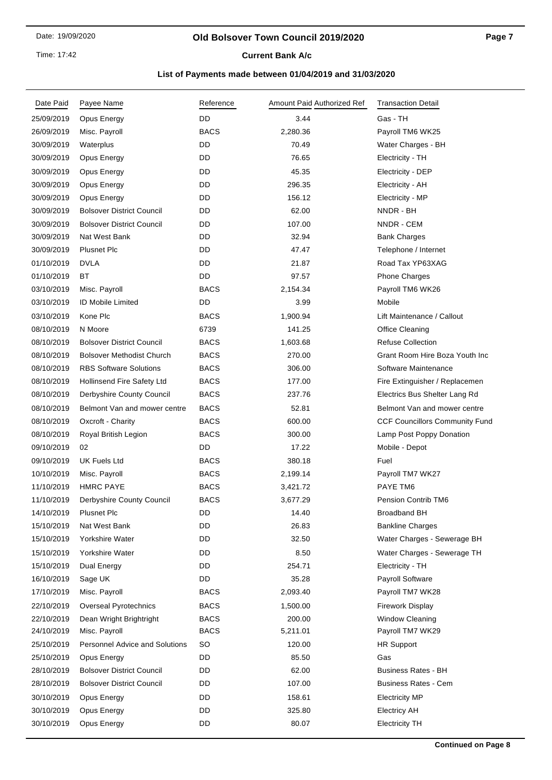### **Old Bolsover Town Council 2019/2020**

**Current Bank A/c** 

| Date Paid  | Payee Name                            | Reference   | Amount Paid Authorized Ref | <b>Transaction Detail</b>             |
|------------|---------------------------------------|-------------|----------------------------|---------------------------------------|
| 25/09/2019 | Opus Energy                           | DD          | 3.44                       | Gas - TH                              |
| 26/09/2019 | Misc. Payroll                         | <b>BACS</b> | 2,280.36                   | Payroll TM6 WK25                      |
| 30/09/2019 | Waterplus                             | DD          | 70.49                      | Water Charges - BH                    |
| 30/09/2019 | Opus Energy                           | DD          | 76.65                      | Electricity - TH                      |
| 30/09/2019 | Opus Energy                           | DD          | 45.35                      | Electricity - DEP                     |
| 30/09/2019 | Opus Energy                           | DD          | 296.35                     | Electricity - AH                      |
| 30/09/2019 | Opus Energy                           | DD          | 156.12                     | Electricity - MP                      |
| 30/09/2019 | <b>Bolsover District Council</b>      | DD          | 62.00                      | NNDR - BH                             |
| 30/09/2019 | <b>Bolsover District Council</b>      | DD          | 107.00                     | NNDR - CEM                            |
| 30/09/2019 | Nat West Bank                         | DD          | 32.94                      | <b>Bank Charges</b>                   |
| 30/09/2019 | <b>Plusnet Plc</b>                    | DD          | 47.47                      | Telephone / Internet                  |
| 01/10/2019 | <b>DVLA</b>                           | <b>DD</b>   | 21.87                      | Road Tax YP63XAG                      |
| 01/10/2019 | ВT                                    | DD          | 97.57                      | <b>Phone Charges</b>                  |
| 03/10/2019 | Misc. Payroll                         | <b>BACS</b> | 2,154.34                   | Payroll TM6 WK26                      |
| 03/10/2019 | <b>ID Mobile Limited</b>              | <b>DD</b>   | 3.99                       | Mobile                                |
| 03/10/2019 | Kone Plc                              | <b>BACS</b> | 1,900.94                   | Lift Maintenance / Callout            |
| 08/10/2019 | N Moore                               | 6739        | 141.25                     | <b>Office Cleaning</b>                |
| 08/10/2019 | <b>Bolsover District Council</b>      | <b>BACS</b> | 1,603.68                   | <b>Refuse Collection</b>              |
| 08/10/2019 | <b>Bolsover Methodist Church</b>      | <b>BACS</b> | 270.00                     | Grant Room Hire Boza Youth Inc        |
| 08/10/2019 | <b>RBS Software Solutions</b>         | <b>BACS</b> | 306.00                     | Software Maintenance                  |
| 08/10/2019 | Hollinsend Fire Safety Ltd            | <b>BACS</b> | 177.00                     | Fire Extinguisher / Replacemen        |
| 08/10/2019 | Derbyshire County Council             | <b>BACS</b> | 237.76                     | Electrics Bus Shelter Lang Rd         |
| 08/10/2019 | Belmont Van and mower centre          | <b>BACS</b> | 52.81                      | Belmont Van and mower centre          |
| 08/10/2019 | Oxcroft - Charity                     | <b>BACS</b> | 600.00                     | <b>CCF Councillors Community Fund</b> |
| 08/10/2019 | Royal British Legion                  | <b>BACS</b> | 300.00                     | Lamp Post Poppy Donation              |
| 09/10/2019 | 02                                    | DD          | 17.22                      | Mobile - Depot                        |
| 09/10/2019 | <b>UK Fuels Ltd</b>                   | <b>BACS</b> | 380.18                     | Fuel                                  |
| 10/10/2019 | Misc. Payroll                         | <b>BACS</b> | 2,199.14                   | Payroll TM7 WK27                      |
| 11/10/2019 | <b>HMRC PAYE</b>                      | <b>BACS</b> | 3,421.72                   | PAYE TM6                              |
| 11/10/2019 | Derbyshire County Council             | <b>BACS</b> | 3,677.29                   | <b>Pension Contrib TM6</b>            |
| 14/10/2019 | <b>Plusnet Plc</b>                    | DD          | 14.40                      | <b>Broadband BH</b>                   |
| 15/10/2019 | Nat West Bank                         | DD          | 26.83                      | <b>Bankline Charges</b>               |
| 15/10/2019 | Yorkshire Water                       | DD          | 32.50                      | Water Charges - Sewerage BH           |
| 15/10/2019 | Yorkshire Water                       | DD          | 8.50                       | Water Charges - Sewerage TH           |
| 15/10/2019 | Dual Energy                           | DD          | 254.71                     | Electricity - TH                      |
| 16/10/2019 | Sage UK                               | DD          | 35.28                      | Payroll Software                      |
| 17/10/2019 | Misc. Payroll                         | <b>BACS</b> | 2,093.40                   | Payroll TM7 WK28                      |
| 22/10/2019 | Overseal Pyrotechnics                 | <b>BACS</b> | 1,500.00                   | Firework Display                      |
| 22/10/2019 | Dean Wright Brightright               | <b>BACS</b> | 200.00                     | <b>Window Cleaning</b>                |
| 24/10/2019 | Misc. Payroll                         | <b>BACS</b> | 5,211.01                   | Payroll TM7 WK29                      |
| 25/10/2019 | <b>Personnel Advice and Solutions</b> | <b>SO</b>   | 120.00                     | <b>HR Support</b>                     |
| 25/10/2019 | Opus Energy                           | DD          | 85.50                      | Gas                                   |
| 28/10/2019 | <b>Bolsover District Council</b>      | DD          | 62.00                      | <b>Business Rates - BH</b>            |
| 28/10/2019 | <b>Bolsover District Council</b>      | DD          | 107.00                     | <b>Business Rates - Cem</b>           |
| 30/10/2019 | Opus Energy                           | DD          | 158.61                     | <b>Electricity MP</b>                 |
| 30/10/2019 | Opus Energy                           | DD          | 325.80                     | <b>Electricy AH</b>                   |
| 30/10/2019 | Opus Energy                           | DD          | 80.07                      | <b>Electricity TH</b>                 |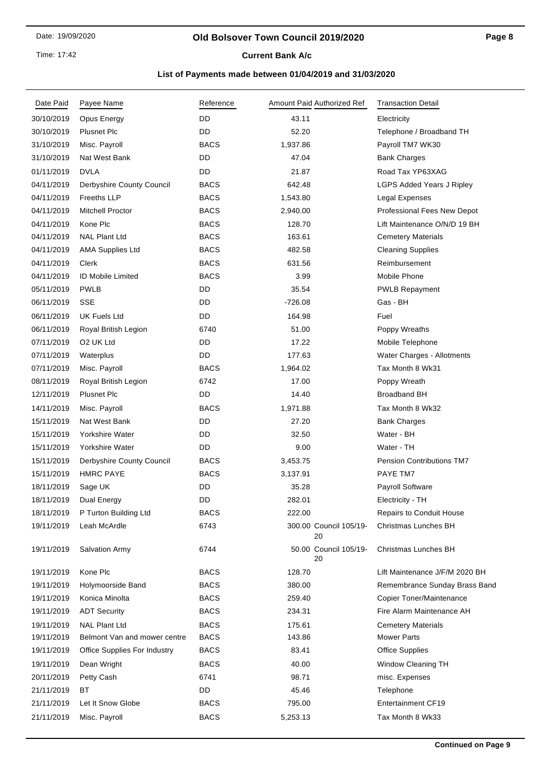### **Old Bolsover Town Council 2019/2020**

## **Current Bank A/c**

| Date Paid  | Payee Name                   | Reference   |           | Amount Paid Authorized Ref   | <b>Transaction Detail</b>        |
|------------|------------------------------|-------------|-----------|------------------------------|----------------------------------|
| 30/10/2019 | Opus Energy                  | DD          | 43.11     |                              | Electricity                      |
| 30/10/2019 | <b>Plusnet Plc</b>           | DD          | 52.20     |                              | Telephone / Broadband TH         |
| 31/10/2019 | Misc. Payroll                | <b>BACS</b> | 1,937.86  |                              | Payroll TM7 WK30                 |
| 31/10/2019 | Nat West Bank                | DD          | 47.04     |                              | <b>Bank Charges</b>              |
| 01/11/2019 | <b>DVLA</b>                  | DD          | 21.87     |                              | Road Tax YP63XAG                 |
| 04/11/2019 | Derbyshire County Council    | <b>BACS</b> | 642.48    |                              | <b>LGPS Added Years J Ripley</b> |
| 04/11/2019 | <b>Freeths LLP</b>           | <b>BACS</b> | 1,543.80  |                              | Legal Expenses                   |
| 04/11/2019 | <b>Mitchell Proctor</b>      | <b>BACS</b> | 2,940.00  |                              | Professional Fees New Depot      |
| 04/11/2019 | Kone Plc                     | <b>BACS</b> | 128.70    |                              | Lift Maintenance O/N/D 19 BH     |
| 04/11/2019 | <b>NAL Plant Ltd</b>         | <b>BACS</b> | 163.61    |                              | <b>Cemetery Materials</b>        |
| 04/11/2019 | <b>AMA Supplies Ltd</b>      | <b>BACS</b> | 482.58    |                              | <b>Cleaning Supplies</b>         |
| 04/11/2019 | Clerk                        | <b>BACS</b> | 631.56    |                              | Reimbursement                    |
| 04/11/2019 | <b>ID Mobile Limited</b>     | <b>BACS</b> | 3.99      |                              | Mobile Phone                     |
| 05/11/2019 | <b>PWLB</b>                  | DD          | 35.54     |                              | <b>PWLB Repayment</b>            |
| 06/11/2019 | SSE                          | DD          | $-726.08$ |                              | Gas - BH                         |
| 06/11/2019 | <b>UK Fuels Ltd</b>          | DD          | 164.98    |                              | Fuel                             |
| 06/11/2019 | Royal British Legion         | 6740        | 51.00     |                              | Poppy Wreaths                    |
| 07/11/2019 | O <sub>2</sub> UK Ltd        | DD          | 17.22     |                              | Mobile Telephone                 |
| 07/11/2019 | Waterplus                    | DD          | 177.63    |                              | Water Charges - Allotments       |
| 07/11/2019 | Misc. Payroll                | <b>BACS</b> | 1,964.02  |                              | Tax Month 8 Wk31                 |
| 08/11/2019 | Royal British Legion         | 6742        | 17.00     |                              | Poppy Wreath                     |
| 12/11/2019 | <b>Plusnet Plc</b>           | DD          | 14.40     |                              | <b>Broadband BH</b>              |
| 14/11/2019 | Misc. Payroll                | <b>BACS</b> | 1,971.88  |                              | Tax Month 8 Wk32                 |
| 15/11/2019 | Nat West Bank                | DD          | 27.20     |                              | <b>Bank Charges</b>              |
| 15/11/2019 | Yorkshire Water              | DD          | 32.50     |                              | Water - BH                       |
| 15/11/2019 | Yorkshire Water              | DD          | 9.00      |                              | Water - TH                       |
| 15/11/2019 | Derbyshire County Council    | <b>BACS</b> | 3,453.75  |                              | <b>Pension Contributions TM7</b> |
| 15/11/2019 | <b>HMRC PAYE</b>             | <b>BACS</b> | 3,137.91  |                              | PAYE TM7                         |
| 18/11/2019 | Sage UK                      | DD          | 35.28     |                              | <b>Payroll Software</b>          |
| 18/11/2019 | Dual Energy                  | DD          | 282.01    |                              | Electricity - TH                 |
| 18/11/2019 | P Turton Building Ltd        | <b>BACS</b> | 222.00    |                              | Repairs to Conduit House         |
| 19/11/2019 | Leah McArdle                 | 6743        |           | 300.00 Council 105/19-<br>20 | Christmas Lunches BH             |
| 19/11/2019 | <b>Salvation Army</b>        | 6744        |           | 50.00 Council 105/19-<br>20  | Christmas Lunches BH             |
| 19/11/2019 | Kone Plc                     | <b>BACS</b> | 128.70    |                              | Lift Maintenance J/F/M 2020 BH   |
| 19/11/2019 | Holymoorside Band            | <b>BACS</b> | 380.00    |                              | Remembrance Sunday Brass Band    |
| 19/11/2019 | Konica Minolta               | <b>BACS</b> | 259.40    |                              | Copier Toner/Maintenance         |
| 19/11/2019 | <b>ADT Security</b>          | <b>BACS</b> | 234.31    |                              | Fire Alarm Maintenance AH        |
| 19/11/2019 | <b>NAL Plant Ltd</b>         | <b>BACS</b> | 175.61    |                              | <b>Cemetery Materials</b>        |
| 19/11/2019 | Belmont Van and mower centre | <b>BACS</b> | 143.86    |                              | <b>Mower Parts</b>               |
| 19/11/2019 | Office Supplies For Industry | <b>BACS</b> | 83.41     |                              | <b>Office Supplies</b>           |
| 19/11/2019 | Dean Wright                  | <b>BACS</b> | 40.00     |                              | Window Cleaning TH               |
| 20/11/2019 | Petty Cash                   | 6741        | 98.71     |                              | misc. Expenses                   |
| 21/11/2019 | ВT                           | DD          | 45.46     |                              | Telephone                        |
| 21/11/2019 | Let It Snow Globe            | <b>BACS</b> | 795.00    |                              | <b>Entertainment CF19</b>        |
| 21/11/2019 | Misc. Payroll                | <b>BACS</b> | 5,253.13  |                              | Tax Month 8 Wk33                 |
|            |                              |             |           |                              |                                  |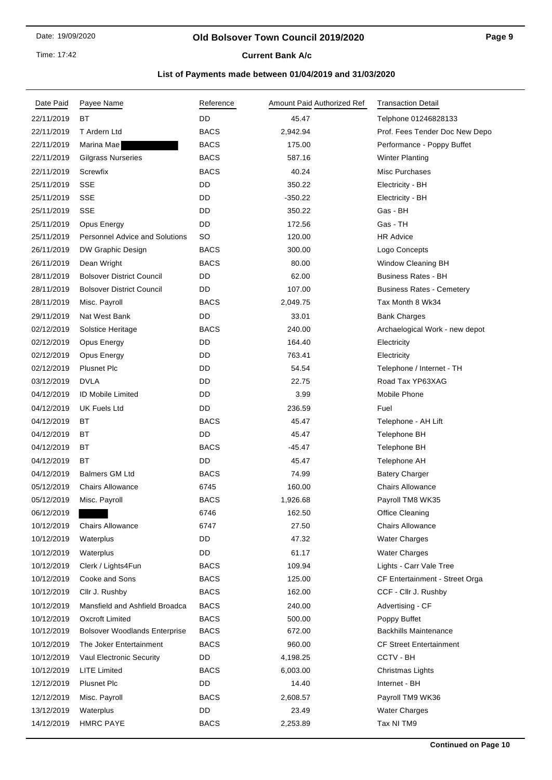Time: 17:42

# **Current Bank A/c**

| <b>DD</b><br>ВT<br>22/11/2019<br>45.47<br>Telphone 01246828133<br>22/11/2019<br>T Ardern Ltd<br><b>BACS</b><br>2,942.94<br>Prof. Fees Tender Doc New Depo<br><b>BACS</b><br>22/11/2019<br>175.00<br>Marina Mae<br>Performance - Poppy Buffet<br><b>BACS</b><br>587.16<br>22/11/2019<br><b>Gilgrass Nurseries</b><br><b>Winter Planting</b><br>Screwfix<br><b>BACS</b><br>40.24<br>Misc Purchases<br>22/11/2019<br>25/11/2019<br><b>SSE</b><br>DD<br>350.22<br>Electricity - BH<br>DD<br>25/11/2019<br><b>SSE</b><br>$-350.22$<br>Electricity - BH<br><b>SSE</b><br>DD<br>Gas - BH<br>25/11/2019<br>350.22<br><b>DD</b><br>25/11/2019<br>Opus Energy<br>172.56<br>Gas - TH<br>25/11/2019<br><b>Personnel Advice and Solutions</b><br>SO<br>120.00<br><b>HR Advice</b><br><b>BACS</b><br>26/11/2019<br>DW Graphic Design<br>300.00<br>Logo Concepts<br>26/11/2019<br>Dean Wright<br><b>BACS</b><br><b>Window Cleaning BH</b><br>80.00<br>28/11/2019<br><b>Bolsover District Council</b><br>DD<br>62.00<br><b>Business Rates - BH</b><br>28/11/2019<br><b>Bolsover District Council</b><br>DD<br>107.00<br><b>Business Rates - Cemetery</b><br><b>BACS</b><br>Tax Month 8 Wk34<br>28/11/2019<br>Misc. Payroll<br>2,049.75<br>DD<br>33.01<br>29/11/2019<br>Nat West Bank<br><b>Bank Charges</b><br>02/12/2019<br><b>BACS</b><br>240.00<br>Solstice Heritage<br>Archaelogical Work - new depot<br>02/12/2019<br>Opus Energy<br>DD<br>164.40<br>Electricity<br>DD<br>763.41<br>02/12/2019<br>Opus Energy<br>Electricity<br>02/12/2019<br><b>Plusnet Plc</b><br>DD<br>54.54<br>Telephone / Internet - TH<br>03/12/2019<br><b>DVLA</b><br>DD<br>22.75<br>Road Tax YP63XAG<br><b>ID Mobile Limited</b><br>DD<br>3.99<br>Mobile Phone<br>04/12/2019<br>04/12/2019<br>UK Fuels Ltd<br>DD<br>236.59<br>Fuel<br>04/12/2019<br>ВT<br><b>BACS</b><br>45.47<br>Telephone - AH Lift<br>ВT<br>DD<br>04/12/2019<br>45.47<br>Telephone BH<br><b>BACS</b><br>Telephone BH<br>04/12/2019<br>ВT<br>-45.47<br>ВT<br>DD<br>04/12/2019<br>45.47<br>Telephone AH<br>04/12/2019<br><b>Balmers GM Ltd</b><br><b>BACS</b><br>74.99<br><b>Batery Charger</b><br>05/12/2019<br><b>Chairs Allowance</b><br>160.00<br><b>Chairs Allowance</b><br>6745<br><b>BACS</b><br>05/12/2019<br>Misc. Payroll<br>1,926.68<br>Payroll TM8 WK35<br>06/12/2019<br>6746<br>162.50<br><b>Office Cleaning</b><br>10/12/2019<br><b>Chairs Allowance</b><br>27.50<br><b>Chairs Allowance</b><br>6747<br>DD<br>10/12/2019<br>Waterplus<br>47.32<br>Water Charges<br>DD<br><b>Water Charges</b><br>10/12/2019<br>Waterplus<br>61.17<br>Clerk / Lights4Fun<br><b>BACS</b><br>109.94<br>Lights - Carr Vale Tree<br>10/12/2019<br>Cooke and Sons<br><b>BACS</b><br>10/12/2019<br>125.00<br>CF Entertainment - Street Orga<br>10/12/2019<br>Cllr J. Rushby<br><b>BACS</b><br>162.00<br>CCF - Cllr J. Rushby<br>Mansfield and Ashfield Broadca<br><b>BACS</b><br>10/12/2019<br>240.00<br>Advertising - CF<br><b>BACS</b><br>10/12/2019<br><b>Oxcroft Limited</b><br>500.00<br>Poppy Buffet<br><b>BACS</b><br><b>Backhills Maintenance</b><br>10/12/2019<br><b>Bolsover Woodlands Enterprise</b><br>672.00<br><b>BACS</b><br>10/12/2019<br>The Joker Entertainment<br>960.00<br><b>CF Street Entertainment</b><br>DD<br>CCTV - BH<br>10/12/2019<br>Vaul Electronic Security<br>4,198.25<br>10/12/2019<br><b>LITE Limited</b><br><b>BACS</b><br>6,003.00<br>Christmas Lights<br><b>Plusnet Plc</b><br>DD<br>12/12/2019<br>14.40<br>Internet - BH<br>Misc. Payroll<br><b>BACS</b><br>Payroll TM9 WK36<br>12/12/2019<br>2,608.57<br>DD<br>13/12/2019<br>Waterplus<br>23.49<br><b>Water Charges</b><br>14/12/2019<br><b>HMRC PAYE</b><br><b>BACS</b><br>2,253.89<br>Tax NI TM9 | Date Paid | Payee Name | Reference | Amount Paid Authorized Ref | <b>Transaction Detail</b> |
|----------------------------------------------------------------------------------------------------------------------------------------------------------------------------------------------------------------------------------------------------------------------------------------------------------------------------------------------------------------------------------------------------------------------------------------------------------------------------------------------------------------------------------------------------------------------------------------------------------------------------------------------------------------------------------------------------------------------------------------------------------------------------------------------------------------------------------------------------------------------------------------------------------------------------------------------------------------------------------------------------------------------------------------------------------------------------------------------------------------------------------------------------------------------------------------------------------------------------------------------------------------------------------------------------------------------------------------------------------------------------------------------------------------------------------------------------------------------------------------------------------------------------------------------------------------------------------------------------------------------------------------------------------------------------------------------------------------------------------------------------------------------------------------------------------------------------------------------------------------------------------------------------------------------------------------------------------------------------------------------------------------------------------------------------------------------------------------------------------------------------------------------------------------------------------------------------------------------------------------------------------------------------------------------------------------------------------------------------------------------------------------------------------------------------------------------------------------------------------------------------------------------------------------------------------------------------------------------------------------------------------------------------------------------------------------------------------------------------------------------------------------------------------------------------------------------------------------------------------------------------------------------------------------------------------------------------------------------------------------------------------------------------------------------------------------------------------------------------------------------------------------------------------------------------------------------------------------------------------------------------------------------------------------------------------------------------------------------------------------------------------------------------------------------------------------------------------------------------------------------------------------------------------------------------------------------------------------------------------------------------------------------------------------------------------------------------------------|-----------|------------|-----------|----------------------------|---------------------------|
|                                                                                                                                                                                                                                                                                                                                                                                                                                                                                                                                                                                                                                                                                                                                                                                                                                                                                                                                                                                                                                                                                                                                                                                                                                                                                                                                                                                                                                                                                                                                                                                                                                                                                                                                                                                                                                                                                                                                                                                                                                                                                                                                                                                                                                                                                                                                                                                                                                                                                                                                                                                                                                                                                                                                                                                                                                                                                                                                                                                                                                                                                                                                                                                                                                                                                                                                                                                                                                                                                                                                                                                                                                                                                                                |           |            |           |                            |                           |
|                                                                                                                                                                                                                                                                                                                                                                                                                                                                                                                                                                                                                                                                                                                                                                                                                                                                                                                                                                                                                                                                                                                                                                                                                                                                                                                                                                                                                                                                                                                                                                                                                                                                                                                                                                                                                                                                                                                                                                                                                                                                                                                                                                                                                                                                                                                                                                                                                                                                                                                                                                                                                                                                                                                                                                                                                                                                                                                                                                                                                                                                                                                                                                                                                                                                                                                                                                                                                                                                                                                                                                                                                                                                                                                |           |            |           |                            |                           |
|                                                                                                                                                                                                                                                                                                                                                                                                                                                                                                                                                                                                                                                                                                                                                                                                                                                                                                                                                                                                                                                                                                                                                                                                                                                                                                                                                                                                                                                                                                                                                                                                                                                                                                                                                                                                                                                                                                                                                                                                                                                                                                                                                                                                                                                                                                                                                                                                                                                                                                                                                                                                                                                                                                                                                                                                                                                                                                                                                                                                                                                                                                                                                                                                                                                                                                                                                                                                                                                                                                                                                                                                                                                                                                                |           |            |           |                            |                           |
|                                                                                                                                                                                                                                                                                                                                                                                                                                                                                                                                                                                                                                                                                                                                                                                                                                                                                                                                                                                                                                                                                                                                                                                                                                                                                                                                                                                                                                                                                                                                                                                                                                                                                                                                                                                                                                                                                                                                                                                                                                                                                                                                                                                                                                                                                                                                                                                                                                                                                                                                                                                                                                                                                                                                                                                                                                                                                                                                                                                                                                                                                                                                                                                                                                                                                                                                                                                                                                                                                                                                                                                                                                                                                                                |           |            |           |                            |                           |
|                                                                                                                                                                                                                                                                                                                                                                                                                                                                                                                                                                                                                                                                                                                                                                                                                                                                                                                                                                                                                                                                                                                                                                                                                                                                                                                                                                                                                                                                                                                                                                                                                                                                                                                                                                                                                                                                                                                                                                                                                                                                                                                                                                                                                                                                                                                                                                                                                                                                                                                                                                                                                                                                                                                                                                                                                                                                                                                                                                                                                                                                                                                                                                                                                                                                                                                                                                                                                                                                                                                                                                                                                                                                                                                |           |            |           |                            |                           |
|                                                                                                                                                                                                                                                                                                                                                                                                                                                                                                                                                                                                                                                                                                                                                                                                                                                                                                                                                                                                                                                                                                                                                                                                                                                                                                                                                                                                                                                                                                                                                                                                                                                                                                                                                                                                                                                                                                                                                                                                                                                                                                                                                                                                                                                                                                                                                                                                                                                                                                                                                                                                                                                                                                                                                                                                                                                                                                                                                                                                                                                                                                                                                                                                                                                                                                                                                                                                                                                                                                                                                                                                                                                                                                                |           |            |           |                            |                           |
|                                                                                                                                                                                                                                                                                                                                                                                                                                                                                                                                                                                                                                                                                                                                                                                                                                                                                                                                                                                                                                                                                                                                                                                                                                                                                                                                                                                                                                                                                                                                                                                                                                                                                                                                                                                                                                                                                                                                                                                                                                                                                                                                                                                                                                                                                                                                                                                                                                                                                                                                                                                                                                                                                                                                                                                                                                                                                                                                                                                                                                                                                                                                                                                                                                                                                                                                                                                                                                                                                                                                                                                                                                                                                                                |           |            |           |                            |                           |
|                                                                                                                                                                                                                                                                                                                                                                                                                                                                                                                                                                                                                                                                                                                                                                                                                                                                                                                                                                                                                                                                                                                                                                                                                                                                                                                                                                                                                                                                                                                                                                                                                                                                                                                                                                                                                                                                                                                                                                                                                                                                                                                                                                                                                                                                                                                                                                                                                                                                                                                                                                                                                                                                                                                                                                                                                                                                                                                                                                                                                                                                                                                                                                                                                                                                                                                                                                                                                                                                                                                                                                                                                                                                                                                |           |            |           |                            |                           |
|                                                                                                                                                                                                                                                                                                                                                                                                                                                                                                                                                                                                                                                                                                                                                                                                                                                                                                                                                                                                                                                                                                                                                                                                                                                                                                                                                                                                                                                                                                                                                                                                                                                                                                                                                                                                                                                                                                                                                                                                                                                                                                                                                                                                                                                                                                                                                                                                                                                                                                                                                                                                                                                                                                                                                                                                                                                                                                                                                                                                                                                                                                                                                                                                                                                                                                                                                                                                                                                                                                                                                                                                                                                                                                                |           |            |           |                            |                           |
|                                                                                                                                                                                                                                                                                                                                                                                                                                                                                                                                                                                                                                                                                                                                                                                                                                                                                                                                                                                                                                                                                                                                                                                                                                                                                                                                                                                                                                                                                                                                                                                                                                                                                                                                                                                                                                                                                                                                                                                                                                                                                                                                                                                                                                                                                                                                                                                                                                                                                                                                                                                                                                                                                                                                                                                                                                                                                                                                                                                                                                                                                                                                                                                                                                                                                                                                                                                                                                                                                                                                                                                                                                                                                                                |           |            |           |                            |                           |
|                                                                                                                                                                                                                                                                                                                                                                                                                                                                                                                                                                                                                                                                                                                                                                                                                                                                                                                                                                                                                                                                                                                                                                                                                                                                                                                                                                                                                                                                                                                                                                                                                                                                                                                                                                                                                                                                                                                                                                                                                                                                                                                                                                                                                                                                                                                                                                                                                                                                                                                                                                                                                                                                                                                                                                                                                                                                                                                                                                                                                                                                                                                                                                                                                                                                                                                                                                                                                                                                                                                                                                                                                                                                                                                |           |            |           |                            |                           |
|                                                                                                                                                                                                                                                                                                                                                                                                                                                                                                                                                                                                                                                                                                                                                                                                                                                                                                                                                                                                                                                                                                                                                                                                                                                                                                                                                                                                                                                                                                                                                                                                                                                                                                                                                                                                                                                                                                                                                                                                                                                                                                                                                                                                                                                                                                                                                                                                                                                                                                                                                                                                                                                                                                                                                                                                                                                                                                                                                                                                                                                                                                                                                                                                                                                                                                                                                                                                                                                                                                                                                                                                                                                                                                                |           |            |           |                            |                           |
|                                                                                                                                                                                                                                                                                                                                                                                                                                                                                                                                                                                                                                                                                                                                                                                                                                                                                                                                                                                                                                                                                                                                                                                                                                                                                                                                                                                                                                                                                                                                                                                                                                                                                                                                                                                                                                                                                                                                                                                                                                                                                                                                                                                                                                                                                                                                                                                                                                                                                                                                                                                                                                                                                                                                                                                                                                                                                                                                                                                                                                                                                                                                                                                                                                                                                                                                                                                                                                                                                                                                                                                                                                                                                                                |           |            |           |                            |                           |
|                                                                                                                                                                                                                                                                                                                                                                                                                                                                                                                                                                                                                                                                                                                                                                                                                                                                                                                                                                                                                                                                                                                                                                                                                                                                                                                                                                                                                                                                                                                                                                                                                                                                                                                                                                                                                                                                                                                                                                                                                                                                                                                                                                                                                                                                                                                                                                                                                                                                                                                                                                                                                                                                                                                                                                                                                                                                                                                                                                                                                                                                                                                                                                                                                                                                                                                                                                                                                                                                                                                                                                                                                                                                                                                |           |            |           |                            |                           |
|                                                                                                                                                                                                                                                                                                                                                                                                                                                                                                                                                                                                                                                                                                                                                                                                                                                                                                                                                                                                                                                                                                                                                                                                                                                                                                                                                                                                                                                                                                                                                                                                                                                                                                                                                                                                                                                                                                                                                                                                                                                                                                                                                                                                                                                                                                                                                                                                                                                                                                                                                                                                                                                                                                                                                                                                                                                                                                                                                                                                                                                                                                                                                                                                                                                                                                                                                                                                                                                                                                                                                                                                                                                                                                                |           |            |           |                            |                           |
|                                                                                                                                                                                                                                                                                                                                                                                                                                                                                                                                                                                                                                                                                                                                                                                                                                                                                                                                                                                                                                                                                                                                                                                                                                                                                                                                                                                                                                                                                                                                                                                                                                                                                                                                                                                                                                                                                                                                                                                                                                                                                                                                                                                                                                                                                                                                                                                                                                                                                                                                                                                                                                                                                                                                                                                                                                                                                                                                                                                                                                                                                                                                                                                                                                                                                                                                                                                                                                                                                                                                                                                                                                                                                                                |           |            |           |                            |                           |
|                                                                                                                                                                                                                                                                                                                                                                                                                                                                                                                                                                                                                                                                                                                                                                                                                                                                                                                                                                                                                                                                                                                                                                                                                                                                                                                                                                                                                                                                                                                                                                                                                                                                                                                                                                                                                                                                                                                                                                                                                                                                                                                                                                                                                                                                                                                                                                                                                                                                                                                                                                                                                                                                                                                                                                                                                                                                                                                                                                                                                                                                                                                                                                                                                                                                                                                                                                                                                                                                                                                                                                                                                                                                                                                |           |            |           |                            |                           |
|                                                                                                                                                                                                                                                                                                                                                                                                                                                                                                                                                                                                                                                                                                                                                                                                                                                                                                                                                                                                                                                                                                                                                                                                                                                                                                                                                                                                                                                                                                                                                                                                                                                                                                                                                                                                                                                                                                                                                                                                                                                                                                                                                                                                                                                                                                                                                                                                                                                                                                                                                                                                                                                                                                                                                                                                                                                                                                                                                                                                                                                                                                                                                                                                                                                                                                                                                                                                                                                                                                                                                                                                                                                                                                                |           |            |           |                            |                           |
|                                                                                                                                                                                                                                                                                                                                                                                                                                                                                                                                                                                                                                                                                                                                                                                                                                                                                                                                                                                                                                                                                                                                                                                                                                                                                                                                                                                                                                                                                                                                                                                                                                                                                                                                                                                                                                                                                                                                                                                                                                                                                                                                                                                                                                                                                                                                                                                                                                                                                                                                                                                                                                                                                                                                                                                                                                                                                                                                                                                                                                                                                                                                                                                                                                                                                                                                                                                                                                                                                                                                                                                                                                                                                                                |           |            |           |                            |                           |
|                                                                                                                                                                                                                                                                                                                                                                                                                                                                                                                                                                                                                                                                                                                                                                                                                                                                                                                                                                                                                                                                                                                                                                                                                                                                                                                                                                                                                                                                                                                                                                                                                                                                                                                                                                                                                                                                                                                                                                                                                                                                                                                                                                                                                                                                                                                                                                                                                                                                                                                                                                                                                                                                                                                                                                                                                                                                                                                                                                                                                                                                                                                                                                                                                                                                                                                                                                                                                                                                                                                                                                                                                                                                                                                |           |            |           |                            |                           |
|                                                                                                                                                                                                                                                                                                                                                                                                                                                                                                                                                                                                                                                                                                                                                                                                                                                                                                                                                                                                                                                                                                                                                                                                                                                                                                                                                                                                                                                                                                                                                                                                                                                                                                                                                                                                                                                                                                                                                                                                                                                                                                                                                                                                                                                                                                                                                                                                                                                                                                                                                                                                                                                                                                                                                                                                                                                                                                                                                                                                                                                                                                                                                                                                                                                                                                                                                                                                                                                                                                                                                                                                                                                                                                                |           |            |           |                            |                           |
|                                                                                                                                                                                                                                                                                                                                                                                                                                                                                                                                                                                                                                                                                                                                                                                                                                                                                                                                                                                                                                                                                                                                                                                                                                                                                                                                                                                                                                                                                                                                                                                                                                                                                                                                                                                                                                                                                                                                                                                                                                                                                                                                                                                                                                                                                                                                                                                                                                                                                                                                                                                                                                                                                                                                                                                                                                                                                                                                                                                                                                                                                                                                                                                                                                                                                                                                                                                                                                                                                                                                                                                                                                                                                                                |           |            |           |                            |                           |
|                                                                                                                                                                                                                                                                                                                                                                                                                                                                                                                                                                                                                                                                                                                                                                                                                                                                                                                                                                                                                                                                                                                                                                                                                                                                                                                                                                                                                                                                                                                                                                                                                                                                                                                                                                                                                                                                                                                                                                                                                                                                                                                                                                                                                                                                                                                                                                                                                                                                                                                                                                                                                                                                                                                                                                                                                                                                                                                                                                                                                                                                                                                                                                                                                                                                                                                                                                                                                                                                                                                                                                                                                                                                                                                |           |            |           |                            |                           |
|                                                                                                                                                                                                                                                                                                                                                                                                                                                                                                                                                                                                                                                                                                                                                                                                                                                                                                                                                                                                                                                                                                                                                                                                                                                                                                                                                                                                                                                                                                                                                                                                                                                                                                                                                                                                                                                                                                                                                                                                                                                                                                                                                                                                                                                                                                                                                                                                                                                                                                                                                                                                                                                                                                                                                                                                                                                                                                                                                                                                                                                                                                                                                                                                                                                                                                                                                                                                                                                                                                                                                                                                                                                                                                                |           |            |           |                            |                           |
|                                                                                                                                                                                                                                                                                                                                                                                                                                                                                                                                                                                                                                                                                                                                                                                                                                                                                                                                                                                                                                                                                                                                                                                                                                                                                                                                                                                                                                                                                                                                                                                                                                                                                                                                                                                                                                                                                                                                                                                                                                                                                                                                                                                                                                                                                                                                                                                                                                                                                                                                                                                                                                                                                                                                                                                                                                                                                                                                                                                                                                                                                                                                                                                                                                                                                                                                                                                                                                                                                                                                                                                                                                                                                                                |           |            |           |                            |                           |
|                                                                                                                                                                                                                                                                                                                                                                                                                                                                                                                                                                                                                                                                                                                                                                                                                                                                                                                                                                                                                                                                                                                                                                                                                                                                                                                                                                                                                                                                                                                                                                                                                                                                                                                                                                                                                                                                                                                                                                                                                                                                                                                                                                                                                                                                                                                                                                                                                                                                                                                                                                                                                                                                                                                                                                                                                                                                                                                                                                                                                                                                                                                                                                                                                                                                                                                                                                                                                                                                                                                                                                                                                                                                                                                |           |            |           |                            |                           |
|                                                                                                                                                                                                                                                                                                                                                                                                                                                                                                                                                                                                                                                                                                                                                                                                                                                                                                                                                                                                                                                                                                                                                                                                                                                                                                                                                                                                                                                                                                                                                                                                                                                                                                                                                                                                                                                                                                                                                                                                                                                                                                                                                                                                                                                                                                                                                                                                                                                                                                                                                                                                                                                                                                                                                                                                                                                                                                                                                                                                                                                                                                                                                                                                                                                                                                                                                                                                                                                                                                                                                                                                                                                                                                                |           |            |           |                            |                           |
|                                                                                                                                                                                                                                                                                                                                                                                                                                                                                                                                                                                                                                                                                                                                                                                                                                                                                                                                                                                                                                                                                                                                                                                                                                                                                                                                                                                                                                                                                                                                                                                                                                                                                                                                                                                                                                                                                                                                                                                                                                                                                                                                                                                                                                                                                                                                                                                                                                                                                                                                                                                                                                                                                                                                                                                                                                                                                                                                                                                                                                                                                                                                                                                                                                                                                                                                                                                                                                                                                                                                                                                                                                                                                                                |           |            |           |                            |                           |
|                                                                                                                                                                                                                                                                                                                                                                                                                                                                                                                                                                                                                                                                                                                                                                                                                                                                                                                                                                                                                                                                                                                                                                                                                                                                                                                                                                                                                                                                                                                                                                                                                                                                                                                                                                                                                                                                                                                                                                                                                                                                                                                                                                                                                                                                                                                                                                                                                                                                                                                                                                                                                                                                                                                                                                                                                                                                                                                                                                                                                                                                                                                                                                                                                                                                                                                                                                                                                                                                                                                                                                                                                                                                                                                |           |            |           |                            |                           |
|                                                                                                                                                                                                                                                                                                                                                                                                                                                                                                                                                                                                                                                                                                                                                                                                                                                                                                                                                                                                                                                                                                                                                                                                                                                                                                                                                                                                                                                                                                                                                                                                                                                                                                                                                                                                                                                                                                                                                                                                                                                                                                                                                                                                                                                                                                                                                                                                                                                                                                                                                                                                                                                                                                                                                                                                                                                                                                                                                                                                                                                                                                                                                                                                                                                                                                                                                                                                                                                                                                                                                                                                                                                                                                                |           |            |           |                            |                           |
|                                                                                                                                                                                                                                                                                                                                                                                                                                                                                                                                                                                                                                                                                                                                                                                                                                                                                                                                                                                                                                                                                                                                                                                                                                                                                                                                                                                                                                                                                                                                                                                                                                                                                                                                                                                                                                                                                                                                                                                                                                                                                                                                                                                                                                                                                                                                                                                                                                                                                                                                                                                                                                                                                                                                                                                                                                                                                                                                                                                                                                                                                                                                                                                                                                                                                                                                                                                                                                                                                                                                                                                                                                                                                                                |           |            |           |                            |                           |
|                                                                                                                                                                                                                                                                                                                                                                                                                                                                                                                                                                                                                                                                                                                                                                                                                                                                                                                                                                                                                                                                                                                                                                                                                                                                                                                                                                                                                                                                                                                                                                                                                                                                                                                                                                                                                                                                                                                                                                                                                                                                                                                                                                                                                                                                                                                                                                                                                                                                                                                                                                                                                                                                                                                                                                                                                                                                                                                                                                                                                                                                                                                                                                                                                                                                                                                                                                                                                                                                                                                                                                                                                                                                                                                |           |            |           |                            |                           |
|                                                                                                                                                                                                                                                                                                                                                                                                                                                                                                                                                                                                                                                                                                                                                                                                                                                                                                                                                                                                                                                                                                                                                                                                                                                                                                                                                                                                                                                                                                                                                                                                                                                                                                                                                                                                                                                                                                                                                                                                                                                                                                                                                                                                                                                                                                                                                                                                                                                                                                                                                                                                                                                                                                                                                                                                                                                                                                                                                                                                                                                                                                                                                                                                                                                                                                                                                                                                                                                                                                                                                                                                                                                                                                                |           |            |           |                            |                           |
|                                                                                                                                                                                                                                                                                                                                                                                                                                                                                                                                                                                                                                                                                                                                                                                                                                                                                                                                                                                                                                                                                                                                                                                                                                                                                                                                                                                                                                                                                                                                                                                                                                                                                                                                                                                                                                                                                                                                                                                                                                                                                                                                                                                                                                                                                                                                                                                                                                                                                                                                                                                                                                                                                                                                                                                                                                                                                                                                                                                                                                                                                                                                                                                                                                                                                                                                                                                                                                                                                                                                                                                                                                                                                                                |           |            |           |                            |                           |
|                                                                                                                                                                                                                                                                                                                                                                                                                                                                                                                                                                                                                                                                                                                                                                                                                                                                                                                                                                                                                                                                                                                                                                                                                                                                                                                                                                                                                                                                                                                                                                                                                                                                                                                                                                                                                                                                                                                                                                                                                                                                                                                                                                                                                                                                                                                                                                                                                                                                                                                                                                                                                                                                                                                                                                                                                                                                                                                                                                                                                                                                                                                                                                                                                                                                                                                                                                                                                                                                                                                                                                                                                                                                                                                |           |            |           |                            |                           |
|                                                                                                                                                                                                                                                                                                                                                                                                                                                                                                                                                                                                                                                                                                                                                                                                                                                                                                                                                                                                                                                                                                                                                                                                                                                                                                                                                                                                                                                                                                                                                                                                                                                                                                                                                                                                                                                                                                                                                                                                                                                                                                                                                                                                                                                                                                                                                                                                                                                                                                                                                                                                                                                                                                                                                                                                                                                                                                                                                                                                                                                                                                                                                                                                                                                                                                                                                                                                                                                                                                                                                                                                                                                                                                                |           |            |           |                            |                           |
|                                                                                                                                                                                                                                                                                                                                                                                                                                                                                                                                                                                                                                                                                                                                                                                                                                                                                                                                                                                                                                                                                                                                                                                                                                                                                                                                                                                                                                                                                                                                                                                                                                                                                                                                                                                                                                                                                                                                                                                                                                                                                                                                                                                                                                                                                                                                                                                                                                                                                                                                                                                                                                                                                                                                                                                                                                                                                                                                                                                                                                                                                                                                                                                                                                                                                                                                                                                                                                                                                                                                                                                                                                                                                                                |           |            |           |                            |                           |
|                                                                                                                                                                                                                                                                                                                                                                                                                                                                                                                                                                                                                                                                                                                                                                                                                                                                                                                                                                                                                                                                                                                                                                                                                                                                                                                                                                                                                                                                                                                                                                                                                                                                                                                                                                                                                                                                                                                                                                                                                                                                                                                                                                                                                                                                                                                                                                                                                                                                                                                                                                                                                                                                                                                                                                                                                                                                                                                                                                                                                                                                                                                                                                                                                                                                                                                                                                                                                                                                                                                                                                                                                                                                                                                |           |            |           |                            |                           |
|                                                                                                                                                                                                                                                                                                                                                                                                                                                                                                                                                                                                                                                                                                                                                                                                                                                                                                                                                                                                                                                                                                                                                                                                                                                                                                                                                                                                                                                                                                                                                                                                                                                                                                                                                                                                                                                                                                                                                                                                                                                                                                                                                                                                                                                                                                                                                                                                                                                                                                                                                                                                                                                                                                                                                                                                                                                                                                                                                                                                                                                                                                                                                                                                                                                                                                                                                                                                                                                                                                                                                                                                                                                                                                                |           |            |           |                            |                           |
|                                                                                                                                                                                                                                                                                                                                                                                                                                                                                                                                                                                                                                                                                                                                                                                                                                                                                                                                                                                                                                                                                                                                                                                                                                                                                                                                                                                                                                                                                                                                                                                                                                                                                                                                                                                                                                                                                                                                                                                                                                                                                                                                                                                                                                                                                                                                                                                                                                                                                                                                                                                                                                                                                                                                                                                                                                                                                                                                                                                                                                                                                                                                                                                                                                                                                                                                                                                                                                                                                                                                                                                                                                                                                                                |           |            |           |                            |                           |
|                                                                                                                                                                                                                                                                                                                                                                                                                                                                                                                                                                                                                                                                                                                                                                                                                                                                                                                                                                                                                                                                                                                                                                                                                                                                                                                                                                                                                                                                                                                                                                                                                                                                                                                                                                                                                                                                                                                                                                                                                                                                                                                                                                                                                                                                                                                                                                                                                                                                                                                                                                                                                                                                                                                                                                                                                                                                                                                                                                                                                                                                                                                                                                                                                                                                                                                                                                                                                                                                                                                                                                                                                                                                                                                |           |            |           |                            |                           |
|                                                                                                                                                                                                                                                                                                                                                                                                                                                                                                                                                                                                                                                                                                                                                                                                                                                                                                                                                                                                                                                                                                                                                                                                                                                                                                                                                                                                                                                                                                                                                                                                                                                                                                                                                                                                                                                                                                                                                                                                                                                                                                                                                                                                                                                                                                                                                                                                                                                                                                                                                                                                                                                                                                                                                                                                                                                                                                                                                                                                                                                                                                                                                                                                                                                                                                                                                                                                                                                                                                                                                                                                                                                                                                                |           |            |           |                            |                           |
|                                                                                                                                                                                                                                                                                                                                                                                                                                                                                                                                                                                                                                                                                                                                                                                                                                                                                                                                                                                                                                                                                                                                                                                                                                                                                                                                                                                                                                                                                                                                                                                                                                                                                                                                                                                                                                                                                                                                                                                                                                                                                                                                                                                                                                                                                                                                                                                                                                                                                                                                                                                                                                                                                                                                                                                                                                                                                                                                                                                                                                                                                                                                                                                                                                                                                                                                                                                                                                                                                                                                                                                                                                                                                                                |           |            |           |                            |                           |
|                                                                                                                                                                                                                                                                                                                                                                                                                                                                                                                                                                                                                                                                                                                                                                                                                                                                                                                                                                                                                                                                                                                                                                                                                                                                                                                                                                                                                                                                                                                                                                                                                                                                                                                                                                                                                                                                                                                                                                                                                                                                                                                                                                                                                                                                                                                                                                                                                                                                                                                                                                                                                                                                                                                                                                                                                                                                                                                                                                                                                                                                                                                                                                                                                                                                                                                                                                                                                                                                                                                                                                                                                                                                                                                |           |            |           |                            |                           |
|                                                                                                                                                                                                                                                                                                                                                                                                                                                                                                                                                                                                                                                                                                                                                                                                                                                                                                                                                                                                                                                                                                                                                                                                                                                                                                                                                                                                                                                                                                                                                                                                                                                                                                                                                                                                                                                                                                                                                                                                                                                                                                                                                                                                                                                                                                                                                                                                                                                                                                                                                                                                                                                                                                                                                                                                                                                                                                                                                                                                                                                                                                                                                                                                                                                                                                                                                                                                                                                                                                                                                                                                                                                                                                                |           |            |           |                            |                           |
|                                                                                                                                                                                                                                                                                                                                                                                                                                                                                                                                                                                                                                                                                                                                                                                                                                                                                                                                                                                                                                                                                                                                                                                                                                                                                                                                                                                                                                                                                                                                                                                                                                                                                                                                                                                                                                                                                                                                                                                                                                                                                                                                                                                                                                                                                                                                                                                                                                                                                                                                                                                                                                                                                                                                                                                                                                                                                                                                                                                                                                                                                                                                                                                                                                                                                                                                                                                                                                                                                                                                                                                                                                                                                                                |           |            |           |                            |                           |
|                                                                                                                                                                                                                                                                                                                                                                                                                                                                                                                                                                                                                                                                                                                                                                                                                                                                                                                                                                                                                                                                                                                                                                                                                                                                                                                                                                                                                                                                                                                                                                                                                                                                                                                                                                                                                                                                                                                                                                                                                                                                                                                                                                                                                                                                                                                                                                                                                                                                                                                                                                                                                                                                                                                                                                                                                                                                                                                                                                                                                                                                                                                                                                                                                                                                                                                                                                                                                                                                                                                                                                                                                                                                                                                |           |            |           |                            |                           |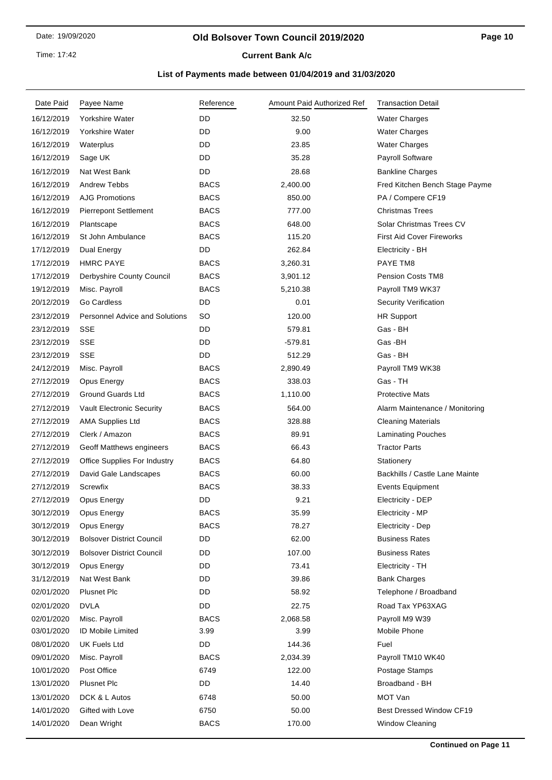### **Old Bolsover Town Council 2019/2020**

**Current Bank A/c** 

| DD<br>16/12/2019<br>Yorkshire Water<br>32.50<br><b>Water Charges</b><br>DD<br>Yorkshire Water<br>9.00<br>16/12/2019<br><b>Water Charges</b><br>DD<br>23.85<br><b>Water Charges</b><br>16/12/2019<br>Waterplus<br>DD<br>35.28<br>Payroll Software<br>16/12/2019<br>Sage UK<br>DD<br>28.68<br>16/12/2019<br>Nat West Bank<br><b>Bankline Charges</b><br><b>BACS</b><br>16/12/2019<br><b>Andrew Tebbs</b><br>2,400.00<br>Fred Kitchen Bench Stage Payme<br>16/12/2019<br><b>AJG Promotions</b><br><b>BACS</b><br>PA / Compere CF19<br>850.00<br><b>BACS</b><br><b>Christmas Trees</b><br>16/12/2019<br><b>Pierrepont Settlement</b><br>777.00<br><b>BACS</b><br>Solar Christmas Trees CV<br>16/12/2019<br>648.00<br>Plantscape<br>St John Ambulance<br><b>BACS</b><br><b>First Aid Cover Fireworks</b><br>16/12/2019<br>115.20<br>17/12/2019<br>Dual Energy<br>DD<br>262.84<br>Electricity - BH<br>17/12/2019<br><b>HMRC PAYE</b><br><b>BACS</b><br><b>PAYE TM8</b><br>3,260.31<br><b>BACS</b><br><b>Pension Costs TM8</b><br>17/12/2019<br>Derbyshire County Council<br>3,901.12<br><b>BACS</b><br>Misc. Payroll<br>Payroll TM9 WK37<br>19/12/2019<br>5,210.38<br>Go Cardless<br>DD<br>Security Verification<br>20/12/2019<br>0.01<br><b>Personnel Advice and Solutions</b><br>SO<br>120.00<br>23/12/2019<br><b>HR Support</b><br>DD<br>23/12/2019<br><b>SSE</b><br>Gas - BH<br>579.81<br>SSE<br>DD<br>Gas-BH<br>23/12/2019<br>$-579.81$<br><b>SSE</b><br>DD<br>512.29<br>Gas - BH<br>23/12/2019<br>Misc. Payroll<br><b>BACS</b><br>2,890.49<br>Payroll TM9 WK38<br>24/12/2019<br><b>BACS</b><br>Gas - TH<br>27/12/2019<br>Opus Energy<br>338.03<br>27/12/2019<br><b>Ground Guards Ltd</b><br><b>BACS</b><br>1,110.00<br><b>Protective Mats</b><br><b>BACS</b><br>27/12/2019<br><b>Vault Electronic Security</b><br>564.00<br>Alarm Maintenance / Monitoring<br><b>BACS</b><br>27/12/2019<br>328.88<br><b>AMA Supplies Ltd</b><br><b>Cleaning Materials</b><br><b>BACS</b><br>89.91<br>27/12/2019<br>Clerk / Amazon<br><b>Laminating Pouches</b><br><b>Tractor Parts</b><br>27/12/2019<br><b>BACS</b><br>66.43<br>Geoff Matthews engineers<br><b>BACS</b><br>27/12/2019<br><b>Office Supplies For Industry</b><br>64.80<br>Stationery<br><b>BACS</b><br>27/12/2019<br>60.00<br>Backhills / Castle Lane Mainte<br>David Gale Landscapes<br><b>BACS</b><br>27/12/2019<br>Screwfix<br>38.33<br><b>Events Equipment</b><br>27/12/2019<br>DD<br>9.21<br>Opus Energy<br><b>Electricity - DEP</b><br>30/12/2019<br><b>BACS</b><br>35.99<br>Electricity - MP<br>Opus Energy<br><b>BACS</b><br>Opus Energy<br>78.27<br>Electricity - Dep<br>30/12/2019<br>30/12/2019<br><b>Bolsover District Council</b><br>DD<br>62.00<br><b>Business Rates</b><br>107.00<br>30/12/2019<br><b>Bolsover District Council</b><br>DD<br><b>Business Rates</b><br>DD<br>73.41<br>30/12/2019<br>Opus Energy<br>Electricity - TH<br>Nat West Bank<br>DD<br>39.86<br><b>Bank Charges</b><br>31/12/2019<br>02/01/2020<br><b>Plusnet Plc</b><br>DD<br>58.92<br>Telephone / Broadband<br><b>DVLA</b><br>02/01/2020<br>DD<br>22.75<br>Road Tax YP63XAG<br><b>BACS</b><br>02/01/2020<br>Misc. Payroll<br>2,068.58<br>Payroll M9 W39<br>03/01/2020<br>ID Mobile Limited<br>3.99<br>3.99<br>Mobile Phone<br>08/01/2020<br><b>UK Fuels Ltd</b><br>DD<br>144.36<br>Fuel<br>09/01/2020<br>Misc. Payroll<br><b>BACS</b><br>2,034.39<br>Payroll TM10 WK40<br>Post Office<br>6749<br>10/01/2020<br>122.00<br>Postage Stamps<br><b>Plusnet Plc</b><br>DD<br>14.40<br>Broadband - BH<br>13/01/2020<br>MOT Van<br>13/01/2020<br>DCK & L Autos<br>6748<br>50.00<br>Gifted with Love<br>6750<br>50.00<br>Best Dressed Window CF19<br>14/01/2020<br><b>BACS</b><br>Window Cleaning<br>14/01/2020<br>Dean Wright<br>170.00 | Date Paid | Payee Name | Reference | Amount Paid Authorized Ref | <b>Transaction Detail</b> |
|-----------------------------------------------------------------------------------------------------------------------------------------------------------------------------------------------------------------------------------------------------------------------------------------------------------------------------------------------------------------------------------------------------------------------------------------------------------------------------------------------------------------------------------------------------------------------------------------------------------------------------------------------------------------------------------------------------------------------------------------------------------------------------------------------------------------------------------------------------------------------------------------------------------------------------------------------------------------------------------------------------------------------------------------------------------------------------------------------------------------------------------------------------------------------------------------------------------------------------------------------------------------------------------------------------------------------------------------------------------------------------------------------------------------------------------------------------------------------------------------------------------------------------------------------------------------------------------------------------------------------------------------------------------------------------------------------------------------------------------------------------------------------------------------------------------------------------------------------------------------------------------------------------------------------------------------------------------------------------------------------------------------------------------------------------------------------------------------------------------------------------------------------------------------------------------------------------------------------------------------------------------------------------------------------------------------------------------------------------------------------------------------------------------------------------------------------------------------------------------------------------------------------------------------------------------------------------------------------------------------------------------------------------------------------------------------------------------------------------------------------------------------------------------------------------------------------------------------------------------------------------------------------------------------------------------------------------------------------------------------------------------------------------------------------------------------------------------------------------------------------------------------------------------------------------------------------------------------------------------------------------------------------------------------------------------------------------------------------------------------------------------------------------------------------------------------------------------------------------------------------------------------------------------------------------------------------------------------------------------------------------------------------------------------------------------------------------------------------------------------------------------------------|-----------|------------|-----------|----------------------------|---------------------------|
|                                                                                                                                                                                                                                                                                                                                                                                                                                                                                                                                                                                                                                                                                                                                                                                                                                                                                                                                                                                                                                                                                                                                                                                                                                                                                                                                                                                                                                                                                                                                                                                                                                                                                                                                                                                                                                                                                                                                                                                                                                                                                                                                                                                                                                                                                                                                                                                                                                                                                                                                                                                                                                                                                                                                                                                                                                                                                                                                                                                                                                                                                                                                                                                                                                                                                                                                                                                                                                                                                                                                                                                                                                                                                                                                                                       |           |            |           |                            |                           |
|                                                                                                                                                                                                                                                                                                                                                                                                                                                                                                                                                                                                                                                                                                                                                                                                                                                                                                                                                                                                                                                                                                                                                                                                                                                                                                                                                                                                                                                                                                                                                                                                                                                                                                                                                                                                                                                                                                                                                                                                                                                                                                                                                                                                                                                                                                                                                                                                                                                                                                                                                                                                                                                                                                                                                                                                                                                                                                                                                                                                                                                                                                                                                                                                                                                                                                                                                                                                                                                                                                                                                                                                                                                                                                                                                                       |           |            |           |                            |                           |
|                                                                                                                                                                                                                                                                                                                                                                                                                                                                                                                                                                                                                                                                                                                                                                                                                                                                                                                                                                                                                                                                                                                                                                                                                                                                                                                                                                                                                                                                                                                                                                                                                                                                                                                                                                                                                                                                                                                                                                                                                                                                                                                                                                                                                                                                                                                                                                                                                                                                                                                                                                                                                                                                                                                                                                                                                                                                                                                                                                                                                                                                                                                                                                                                                                                                                                                                                                                                                                                                                                                                                                                                                                                                                                                                                                       |           |            |           |                            |                           |
|                                                                                                                                                                                                                                                                                                                                                                                                                                                                                                                                                                                                                                                                                                                                                                                                                                                                                                                                                                                                                                                                                                                                                                                                                                                                                                                                                                                                                                                                                                                                                                                                                                                                                                                                                                                                                                                                                                                                                                                                                                                                                                                                                                                                                                                                                                                                                                                                                                                                                                                                                                                                                                                                                                                                                                                                                                                                                                                                                                                                                                                                                                                                                                                                                                                                                                                                                                                                                                                                                                                                                                                                                                                                                                                                                                       |           |            |           |                            |                           |
|                                                                                                                                                                                                                                                                                                                                                                                                                                                                                                                                                                                                                                                                                                                                                                                                                                                                                                                                                                                                                                                                                                                                                                                                                                                                                                                                                                                                                                                                                                                                                                                                                                                                                                                                                                                                                                                                                                                                                                                                                                                                                                                                                                                                                                                                                                                                                                                                                                                                                                                                                                                                                                                                                                                                                                                                                                                                                                                                                                                                                                                                                                                                                                                                                                                                                                                                                                                                                                                                                                                                                                                                                                                                                                                                                                       |           |            |           |                            |                           |
|                                                                                                                                                                                                                                                                                                                                                                                                                                                                                                                                                                                                                                                                                                                                                                                                                                                                                                                                                                                                                                                                                                                                                                                                                                                                                                                                                                                                                                                                                                                                                                                                                                                                                                                                                                                                                                                                                                                                                                                                                                                                                                                                                                                                                                                                                                                                                                                                                                                                                                                                                                                                                                                                                                                                                                                                                                                                                                                                                                                                                                                                                                                                                                                                                                                                                                                                                                                                                                                                                                                                                                                                                                                                                                                                                                       |           |            |           |                            |                           |
|                                                                                                                                                                                                                                                                                                                                                                                                                                                                                                                                                                                                                                                                                                                                                                                                                                                                                                                                                                                                                                                                                                                                                                                                                                                                                                                                                                                                                                                                                                                                                                                                                                                                                                                                                                                                                                                                                                                                                                                                                                                                                                                                                                                                                                                                                                                                                                                                                                                                                                                                                                                                                                                                                                                                                                                                                                                                                                                                                                                                                                                                                                                                                                                                                                                                                                                                                                                                                                                                                                                                                                                                                                                                                                                                                                       |           |            |           |                            |                           |
|                                                                                                                                                                                                                                                                                                                                                                                                                                                                                                                                                                                                                                                                                                                                                                                                                                                                                                                                                                                                                                                                                                                                                                                                                                                                                                                                                                                                                                                                                                                                                                                                                                                                                                                                                                                                                                                                                                                                                                                                                                                                                                                                                                                                                                                                                                                                                                                                                                                                                                                                                                                                                                                                                                                                                                                                                                                                                                                                                                                                                                                                                                                                                                                                                                                                                                                                                                                                                                                                                                                                                                                                                                                                                                                                                                       |           |            |           |                            |                           |
|                                                                                                                                                                                                                                                                                                                                                                                                                                                                                                                                                                                                                                                                                                                                                                                                                                                                                                                                                                                                                                                                                                                                                                                                                                                                                                                                                                                                                                                                                                                                                                                                                                                                                                                                                                                                                                                                                                                                                                                                                                                                                                                                                                                                                                                                                                                                                                                                                                                                                                                                                                                                                                                                                                                                                                                                                                                                                                                                                                                                                                                                                                                                                                                                                                                                                                                                                                                                                                                                                                                                                                                                                                                                                                                                                                       |           |            |           |                            |                           |
|                                                                                                                                                                                                                                                                                                                                                                                                                                                                                                                                                                                                                                                                                                                                                                                                                                                                                                                                                                                                                                                                                                                                                                                                                                                                                                                                                                                                                                                                                                                                                                                                                                                                                                                                                                                                                                                                                                                                                                                                                                                                                                                                                                                                                                                                                                                                                                                                                                                                                                                                                                                                                                                                                                                                                                                                                                                                                                                                                                                                                                                                                                                                                                                                                                                                                                                                                                                                                                                                                                                                                                                                                                                                                                                                                                       |           |            |           |                            |                           |
|                                                                                                                                                                                                                                                                                                                                                                                                                                                                                                                                                                                                                                                                                                                                                                                                                                                                                                                                                                                                                                                                                                                                                                                                                                                                                                                                                                                                                                                                                                                                                                                                                                                                                                                                                                                                                                                                                                                                                                                                                                                                                                                                                                                                                                                                                                                                                                                                                                                                                                                                                                                                                                                                                                                                                                                                                                                                                                                                                                                                                                                                                                                                                                                                                                                                                                                                                                                                                                                                                                                                                                                                                                                                                                                                                                       |           |            |           |                            |                           |
|                                                                                                                                                                                                                                                                                                                                                                                                                                                                                                                                                                                                                                                                                                                                                                                                                                                                                                                                                                                                                                                                                                                                                                                                                                                                                                                                                                                                                                                                                                                                                                                                                                                                                                                                                                                                                                                                                                                                                                                                                                                                                                                                                                                                                                                                                                                                                                                                                                                                                                                                                                                                                                                                                                                                                                                                                                                                                                                                                                                                                                                                                                                                                                                                                                                                                                                                                                                                                                                                                                                                                                                                                                                                                                                                                                       |           |            |           |                            |                           |
|                                                                                                                                                                                                                                                                                                                                                                                                                                                                                                                                                                                                                                                                                                                                                                                                                                                                                                                                                                                                                                                                                                                                                                                                                                                                                                                                                                                                                                                                                                                                                                                                                                                                                                                                                                                                                                                                                                                                                                                                                                                                                                                                                                                                                                                                                                                                                                                                                                                                                                                                                                                                                                                                                                                                                                                                                                                                                                                                                                                                                                                                                                                                                                                                                                                                                                                                                                                                                                                                                                                                                                                                                                                                                                                                                                       |           |            |           |                            |                           |
|                                                                                                                                                                                                                                                                                                                                                                                                                                                                                                                                                                                                                                                                                                                                                                                                                                                                                                                                                                                                                                                                                                                                                                                                                                                                                                                                                                                                                                                                                                                                                                                                                                                                                                                                                                                                                                                                                                                                                                                                                                                                                                                                                                                                                                                                                                                                                                                                                                                                                                                                                                                                                                                                                                                                                                                                                                                                                                                                                                                                                                                                                                                                                                                                                                                                                                                                                                                                                                                                                                                                                                                                                                                                                                                                                                       |           |            |           |                            |                           |
|                                                                                                                                                                                                                                                                                                                                                                                                                                                                                                                                                                                                                                                                                                                                                                                                                                                                                                                                                                                                                                                                                                                                                                                                                                                                                                                                                                                                                                                                                                                                                                                                                                                                                                                                                                                                                                                                                                                                                                                                                                                                                                                                                                                                                                                                                                                                                                                                                                                                                                                                                                                                                                                                                                                                                                                                                                                                                                                                                                                                                                                                                                                                                                                                                                                                                                                                                                                                                                                                                                                                                                                                                                                                                                                                                                       |           |            |           |                            |                           |
|                                                                                                                                                                                                                                                                                                                                                                                                                                                                                                                                                                                                                                                                                                                                                                                                                                                                                                                                                                                                                                                                                                                                                                                                                                                                                                                                                                                                                                                                                                                                                                                                                                                                                                                                                                                                                                                                                                                                                                                                                                                                                                                                                                                                                                                                                                                                                                                                                                                                                                                                                                                                                                                                                                                                                                                                                                                                                                                                                                                                                                                                                                                                                                                                                                                                                                                                                                                                                                                                                                                                                                                                                                                                                                                                                                       |           |            |           |                            |                           |
|                                                                                                                                                                                                                                                                                                                                                                                                                                                                                                                                                                                                                                                                                                                                                                                                                                                                                                                                                                                                                                                                                                                                                                                                                                                                                                                                                                                                                                                                                                                                                                                                                                                                                                                                                                                                                                                                                                                                                                                                                                                                                                                                                                                                                                                                                                                                                                                                                                                                                                                                                                                                                                                                                                                                                                                                                                                                                                                                                                                                                                                                                                                                                                                                                                                                                                                                                                                                                                                                                                                                                                                                                                                                                                                                                                       |           |            |           |                            |                           |
|                                                                                                                                                                                                                                                                                                                                                                                                                                                                                                                                                                                                                                                                                                                                                                                                                                                                                                                                                                                                                                                                                                                                                                                                                                                                                                                                                                                                                                                                                                                                                                                                                                                                                                                                                                                                                                                                                                                                                                                                                                                                                                                                                                                                                                                                                                                                                                                                                                                                                                                                                                                                                                                                                                                                                                                                                                                                                                                                                                                                                                                                                                                                                                                                                                                                                                                                                                                                                                                                                                                                                                                                                                                                                                                                                                       |           |            |           |                            |                           |
|                                                                                                                                                                                                                                                                                                                                                                                                                                                                                                                                                                                                                                                                                                                                                                                                                                                                                                                                                                                                                                                                                                                                                                                                                                                                                                                                                                                                                                                                                                                                                                                                                                                                                                                                                                                                                                                                                                                                                                                                                                                                                                                                                                                                                                                                                                                                                                                                                                                                                                                                                                                                                                                                                                                                                                                                                                                                                                                                                                                                                                                                                                                                                                                                                                                                                                                                                                                                                                                                                                                                                                                                                                                                                                                                                                       |           |            |           |                            |                           |
|                                                                                                                                                                                                                                                                                                                                                                                                                                                                                                                                                                                                                                                                                                                                                                                                                                                                                                                                                                                                                                                                                                                                                                                                                                                                                                                                                                                                                                                                                                                                                                                                                                                                                                                                                                                                                                                                                                                                                                                                                                                                                                                                                                                                                                                                                                                                                                                                                                                                                                                                                                                                                                                                                                                                                                                                                                                                                                                                                                                                                                                                                                                                                                                                                                                                                                                                                                                                                                                                                                                                                                                                                                                                                                                                                                       |           |            |           |                            |                           |
|                                                                                                                                                                                                                                                                                                                                                                                                                                                                                                                                                                                                                                                                                                                                                                                                                                                                                                                                                                                                                                                                                                                                                                                                                                                                                                                                                                                                                                                                                                                                                                                                                                                                                                                                                                                                                                                                                                                                                                                                                                                                                                                                                                                                                                                                                                                                                                                                                                                                                                                                                                                                                                                                                                                                                                                                                                                                                                                                                                                                                                                                                                                                                                                                                                                                                                                                                                                                                                                                                                                                                                                                                                                                                                                                                                       |           |            |           |                            |                           |
|                                                                                                                                                                                                                                                                                                                                                                                                                                                                                                                                                                                                                                                                                                                                                                                                                                                                                                                                                                                                                                                                                                                                                                                                                                                                                                                                                                                                                                                                                                                                                                                                                                                                                                                                                                                                                                                                                                                                                                                                                                                                                                                                                                                                                                                                                                                                                                                                                                                                                                                                                                                                                                                                                                                                                                                                                                                                                                                                                                                                                                                                                                                                                                                                                                                                                                                                                                                                                                                                                                                                                                                                                                                                                                                                                                       |           |            |           |                            |                           |
|                                                                                                                                                                                                                                                                                                                                                                                                                                                                                                                                                                                                                                                                                                                                                                                                                                                                                                                                                                                                                                                                                                                                                                                                                                                                                                                                                                                                                                                                                                                                                                                                                                                                                                                                                                                                                                                                                                                                                                                                                                                                                                                                                                                                                                                                                                                                                                                                                                                                                                                                                                                                                                                                                                                                                                                                                                                                                                                                                                                                                                                                                                                                                                                                                                                                                                                                                                                                                                                                                                                                                                                                                                                                                                                                                                       |           |            |           |                            |                           |
|                                                                                                                                                                                                                                                                                                                                                                                                                                                                                                                                                                                                                                                                                                                                                                                                                                                                                                                                                                                                                                                                                                                                                                                                                                                                                                                                                                                                                                                                                                                                                                                                                                                                                                                                                                                                                                                                                                                                                                                                                                                                                                                                                                                                                                                                                                                                                                                                                                                                                                                                                                                                                                                                                                                                                                                                                                                                                                                                                                                                                                                                                                                                                                                                                                                                                                                                                                                                                                                                                                                                                                                                                                                                                                                                                                       |           |            |           |                            |                           |
|                                                                                                                                                                                                                                                                                                                                                                                                                                                                                                                                                                                                                                                                                                                                                                                                                                                                                                                                                                                                                                                                                                                                                                                                                                                                                                                                                                                                                                                                                                                                                                                                                                                                                                                                                                                                                                                                                                                                                                                                                                                                                                                                                                                                                                                                                                                                                                                                                                                                                                                                                                                                                                                                                                                                                                                                                                                                                                                                                                                                                                                                                                                                                                                                                                                                                                                                                                                                                                                                                                                                                                                                                                                                                                                                                                       |           |            |           |                            |                           |
|                                                                                                                                                                                                                                                                                                                                                                                                                                                                                                                                                                                                                                                                                                                                                                                                                                                                                                                                                                                                                                                                                                                                                                                                                                                                                                                                                                                                                                                                                                                                                                                                                                                                                                                                                                                                                                                                                                                                                                                                                                                                                                                                                                                                                                                                                                                                                                                                                                                                                                                                                                                                                                                                                                                                                                                                                                                                                                                                                                                                                                                                                                                                                                                                                                                                                                                                                                                                                                                                                                                                                                                                                                                                                                                                                                       |           |            |           |                            |                           |
|                                                                                                                                                                                                                                                                                                                                                                                                                                                                                                                                                                                                                                                                                                                                                                                                                                                                                                                                                                                                                                                                                                                                                                                                                                                                                                                                                                                                                                                                                                                                                                                                                                                                                                                                                                                                                                                                                                                                                                                                                                                                                                                                                                                                                                                                                                                                                                                                                                                                                                                                                                                                                                                                                                                                                                                                                                                                                                                                                                                                                                                                                                                                                                                                                                                                                                                                                                                                                                                                                                                                                                                                                                                                                                                                                                       |           |            |           |                            |                           |
|                                                                                                                                                                                                                                                                                                                                                                                                                                                                                                                                                                                                                                                                                                                                                                                                                                                                                                                                                                                                                                                                                                                                                                                                                                                                                                                                                                                                                                                                                                                                                                                                                                                                                                                                                                                                                                                                                                                                                                                                                                                                                                                                                                                                                                                                                                                                                                                                                                                                                                                                                                                                                                                                                                                                                                                                                                                                                                                                                                                                                                                                                                                                                                                                                                                                                                                                                                                                                                                                                                                                                                                                                                                                                                                                                                       |           |            |           |                            |                           |
|                                                                                                                                                                                                                                                                                                                                                                                                                                                                                                                                                                                                                                                                                                                                                                                                                                                                                                                                                                                                                                                                                                                                                                                                                                                                                                                                                                                                                                                                                                                                                                                                                                                                                                                                                                                                                                                                                                                                                                                                                                                                                                                                                                                                                                                                                                                                                                                                                                                                                                                                                                                                                                                                                                                                                                                                                                                                                                                                                                                                                                                                                                                                                                                                                                                                                                                                                                                                                                                                                                                                                                                                                                                                                                                                                                       |           |            |           |                            |                           |
|                                                                                                                                                                                                                                                                                                                                                                                                                                                                                                                                                                                                                                                                                                                                                                                                                                                                                                                                                                                                                                                                                                                                                                                                                                                                                                                                                                                                                                                                                                                                                                                                                                                                                                                                                                                                                                                                                                                                                                                                                                                                                                                                                                                                                                                                                                                                                                                                                                                                                                                                                                                                                                                                                                                                                                                                                                                                                                                                                                                                                                                                                                                                                                                                                                                                                                                                                                                                                                                                                                                                                                                                                                                                                                                                                                       |           |            |           |                            |                           |
|                                                                                                                                                                                                                                                                                                                                                                                                                                                                                                                                                                                                                                                                                                                                                                                                                                                                                                                                                                                                                                                                                                                                                                                                                                                                                                                                                                                                                                                                                                                                                                                                                                                                                                                                                                                                                                                                                                                                                                                                                                                                                                                                                                                                                                                                                                                                                                                                                                                                                                                                                                                                                                                                                                                                                                                                                                                                                                                                                                                                                                                                                                                                                                                                                                                                                                                                                                                                                                                                                                                                                                                                                                                                                                                                                                       |           |            |           |                            |                           |
|                                                                                                                                                                                                                                                                                                                                                                                                                                                                                                                                                                                                                                                                                                                                                                                                                                                                                                                                                                                                                                                                                                                                                                                                                                                                                                                                                                                                                                                                                                                                                                                                                                                                                                                                                                                                                                                                                                                                                                                                                                                                                                                                                                                                                                                                                                                                                                                                                                                                                                                                                                                                                                                                                                                                                                                                                                                                                                                                                                                                                                                                                                                                                                                                                                                                                                                                                                                                                                                                                                                                                                                                                                                                                                                                                                       |           |            |           |                            |                           |
|                                                                                                                                                                                                                                                                                                                                                                                                                                                                                                                                                                                                                                                                                                                                                                                                                                                                                                                                                                                                                                                                                                                                                                                                                                                                                                                                                                                                                                                                                                                                                                                                                                                                                                                                                                                                                                                                                                                                                                                                                                                                                                                                                                                                                                                                                                                                                                                                                                                                                                                                                                                                                                                                                                                                                                                                                                                                                                                                                                                                                                                                                                                                                                                                                                                                                                                                                                                                                                                                                                                                                                                                                                                                                                                                                                       |           |            |           |                            |                           |
|                                                                                                                                                                                                                                                                                                                                                                                                                                                                                                                                                                                                                                                                                                                                                                                                                                                                                                                                                                                                                                                                                                                                                                                                                                                                                                                                                                                                                                                                                                                                                                                                                                                                                                                                                                                                                                                                                                                                                                                                                                                                                                                                                                                                                                                                                                                                                                                                                                                                                                                                                                                                                                                                                                                                                                                                                                                                                                                                                                                                                                                                                                                                                                                                                                                                                                                                                                                                                                                                                                                                                                                                                                                                                                                                                                       |           |            |           |                            |                           |
|                                                                                                                                                                                                                                                                                                                                                                                                                                                                                                                                                                                                                                                                                                                                                                                                                                                                                                                                                                                                                                                                                                                                                                                                                                                                                                                                                                                                                                                                                                                                                                                                                                                                                                                                                                                                                                                                                                                                                                                                                                                                                                                                                                                                                                                                                                                                                                                                                                                                                                                                                                                                                                                                                                                                                                                                                                                                                                                                                                                                                                                                                                                                                                                                                                                                                                                                                                                                                                                                                                                                                                                                                                                                                                                                                                       |           |            |           |                            |                           |
|                                                                                                                                                                                                                                                                                                                                                                                                                                                                                                                                                                                                                                                                                                                                                                                                                                                                                                                                                                                                                                                                                                                                                                                                                                                                                                                                                                                                                                                                                                                                                                                                                                                                                                                                                                                                                                                                                                                                                                                                                                                                                                                                                                                                                                                                                                                                                                                                                                                                                                                                                                                                                                                                                                                                                                                                                                                                                                                                                                                                                                                                                                                                                                                                                                                                                                                                                                                                                                                                                                                                                                                                                                                                                                                                                                       |           |            |           |                            |                           |
|                                                                                                                                                                                                                                                                                                                                                                                                                                                                                                                                                                                                                                                                                                                                                                                                                                                                                                                                                                                                                                                                                                                                                                                                                                                                                                                                                                                                                                                                                                                                                                                                                                                                                                                                                                                                                                                                                                                                                                                                                                                                                                                                                                                                                                                                                                                                                                                                                                                                                                                                                                                                                                                                                                                                                                                                                                                                                                                                                                                                                                                                                                                                                                                                                                                                                                                                                                                                                                                                                                                                                                                                                                                                                                                                                                       |           |            |           |                            |                           |
|                                                                                                                                                                                                                                                                                                                                                                                                                                                                                                                                                                                                                                                                                                                                                                                                                                                                                                                                                                                                                                                                                                                                                                                                                                                                                                                                                                                                                                                                                                                                                                                                                                                                                                                                                                                                                                                                                                                                                                                                                                                                                                                                                                                                                                                                                                                                                                                                                                                                                                                                                                                                                                                                                                                                                                                                                                                                                                                                                                                                                                                                                                                                                                                                                                                                                                                                                                                                                                                                                                                                                                                                                                                                                                                                                                       |           |            |           |                            |                           |
|                                                                                                                                                                                                                                                                                                                                                                                                                                                                                                                                                                                                                                                                                                                                                                                                                                                                                                                                                                                                                                                                                                                                                                                                                                                                                                                                                                                                                                                                                                                                                                                                                                                                                                                                                                                                                                                                                                                                                                                                                                                                                                                                                                                                                                                                                                                                                                                                                                                                                                                                                                                                                                                                                                                                                                                                                                                                                                                                                                                                                                                                                                                                                                                                                                                                                                                                                                                                                                                                                                                                                                                                                                                                                                                                                                       |           |            |           |                            |                           |
|                                                                                                                                                                                                                                                                                                                                                                                                                                                                                                                                                                                                                                                                                                                                                                                                                                                                                                                                                                                                                                                                                                                                                                                                                                                                                                                                                                                                                                                                                                                                                                                                                                                                                                                                                                                                                                                                                                                                                                                                                                                                                                                                                                                                                                                                                                                                                                                                                                                                                                                                                                                                                                                                                                                                                                                                                                                                                                                                                                                                                                                                                                                                                                                                                                                                                                                                                                                                                                                                                                                                                                                                                                                                                                                                                                       |           |            |           |                            |                           |
|                                                                                                                                                                                                                                                                                                                                                                                                                                                                                                                                                                                                                                                                                                                                                                                                                                                                                                                                                                                                                                                                                                                                                                                                                                                                                                                                                                                                                                                                                                                                                                                                                                                                                                                                                                                                                                                                                                                                                                                                                                                                                                                                                                                                                                                                                                                                                                                                                                                                                                                                                                                                                                                                                                                                                                                                                                                                                                                                                                                                                                                                                                                                                                                                                                                                                                                                                                                                                                                                                                                                                                                                                                                                                                                                                                       |           |            |           |                            |                           |
|                                                                                                                                                                                                                                                                                                                                                                                                                                                                                                                                                                                                                                                                                                                                                                                                                                                                                                                                                                                                                                                                                                                                                                                                                                                                                                                                                                                                                                                                                                                                                                                                                                                                                                                                                                                                                                                                                                                                                                                                                                                                                                                                                                                                                                                                                                                                                                                                                                                                                                                                                                                                                                                                                                                                                                                                                                                                                                                                                                                                                                                                                                                                                                                                                                                                                                                                                                                                                                                                                                                                                                                                                                                                                                                                                                       |           |            |           |                            |                           |
|                                                                                                                                                                                                                                                                                                                                                                                                                                                                                                                                                                                                                                                                                                                                                                                                                                                                                                                                                                                                                                                                                                                                                                                                                                                                                                                                                                                                                                                                                                                                                                                                                                                                                                                                                                                                                                                                                                                                                                                                                                                                                                                                                                                                                                                                                                                                                                                                                                                                                                                                                                                                                                                                                                                                                                                                                                                                                                                                                                                                                                                                                                                                                                                                                                                                                                                                                                                                                                                                                                                                                                                                                                                                                                                                                                       |           |            |           |                            |                           |
|                                                                                                                                                                                                                                                                                                                                                                                                                                                                                                                                                                                                                                                                                                                                                                                                                                                                                                                                                                                                                                                                                                                                                                                                                                                                                                                                                                                                                                                                                                                                                                                                                                                                                                                                                                                                                                                                                                                                                                                                                                                                                                                                                                                                                                                                                                                                                                                                                                                                                                                                                                                                                                                                                                                                                                                                                                                                                                                                                                                                                                                                                                                                                                                                                                                                                                                                                                                                                                                                                                                                                                                                                                                                                                                                                                       |           |            |           |                            |                           |
|                                                                                                                                                                                                                                                                                                                                                                                                                                                                                                                                                                                                                                                                                                                                                                                                                                                                                                                                                                                                                                                                                                                                                                                                                                                                                                                                                                                                                                                                                                                                                                                                                                                                                                                                                                                                                                                                                                                                                                                                                                                                                                                                                                                                                                                                                                                                                                                                                                                                                                                                                                                                                                                                                                                                                                                                                                                                                                                                                                                                                                                                                                                                                                                                                                                                                                                                                                                                                                                                                                                                                                                                                                                                                                                                                                       |           |            |           |                            |                           |
|                                                                                                                                                                                                                                                                                                                                                                                                                                                                                                                                                                                                                                                                                                                                                                                                                                                                                                                                                                                                                                                                                                                                                                                                                                                                                                                                                                                                                                                                                                                                                                                                                                                                                                                                                                                                                                                                                                                                                                                                                                                                                                                                                                                                                                                                                                                                                                                                                                                                                                                                                                                                                                                                                                                                                                                                                                                                                                                                                                                                                                                                                                                                                                                                                                                                                                                                                                                                                                                                                                                                                                                                                                                                                                                                                                       |           |            |           |                            |                           |
|                                                                                                                                                                                                                                                                                                                                                                                                                                                                                                                                                                                                                                                                                                                                                                                                                                                                                                                                                                                                                                                                                                                                                                                                                                                                                                                                                                                                                                                                                                                                                                                                                                                                                                                                                                                                                                                                                                                                                                                                                                                                                                                                                                                                                                                                                                                                                                                                                                                                                                                                                                                                                                                                                                                                                                                                                                                                                                                                                                                                                                                                                                                                                                                                                                                                                                                                                                                                                                                                                                                                                                                                                                                                                                                                                                       |           |            |           |                            |                           |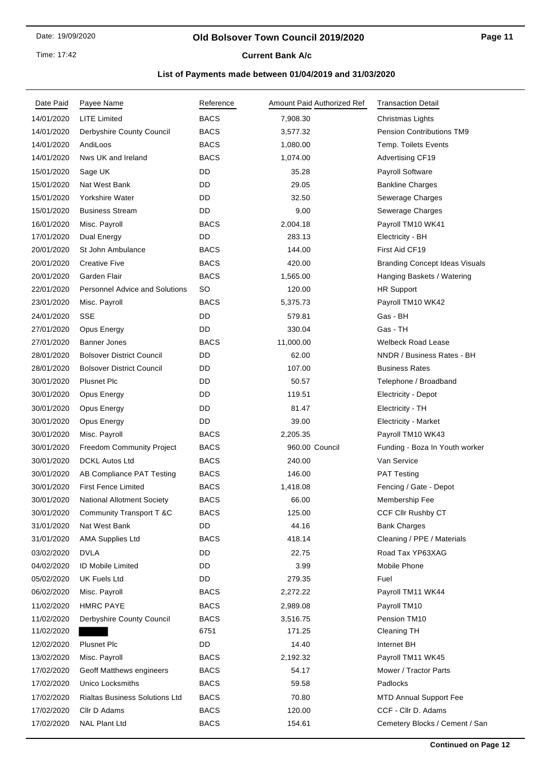### **Old Bolsover Town Council 2019/2020**

## **Current Bank A/c**

| Date Paid  | Payee Name                            | Reference   | Amount Paid Authorized Ref | <b>Transaction Detail</b>             |
|------------|---------------------------------------|-------------|----------------------------|---------------------------------------|
| 14/01/2020 | <b>LITE Limited</b>                   | <b>BACS</b> | 7,908.30                   | Christmas Lights                      |
| 14/01/2020 | Derbyshire County Council             | <b>BACS</b> | 3,577.32                   | <b>Pension Contributions TM9</b>      |
| 14/01/2020 | AndiLoos                              | <b>BACS</b> | 1,080.00                   | Temp. Toilets Events                  |
| 14/01/2020 | Nws UK and Ireland                    | <b>BACS</b> | 1,074.00                   | <b>Advertising CF19</b>               |
| 15/01/2020 | Sage UK                               | DD          | 35.28                      | <b>Payroll Software</b>               |
| 15/01/2020 | Nat West Bank                         | DD          | 29.05                      | <b>Bankline Charges</b>               |
| 15/01/2020 | Yorkshire Water                       | DD          | 32.50                      | Sewerage Charges                      |
| 15/01/2020 | <b>Business Stream</b>                | DD          | 9.00                       | Sewerage Charges                      |
| 16/01/2020 | Misc. Payroll                         | <b>BACS</b> | 2,004.18                   | Payroll TM10 WK41                     |
| 17/01/2020 | Dual Energy                           | DD          | 283.13                     | Electricity - BH                      |
| 20/01/2020 | St John Ambulance                     | <b>BACS</b> | 144.00                     | First Aid CF19                        |
| 20/01/2020 | <b>Creative Five</b>                  | <b>BACS</b> | 420.00                     | <b>Branding Concept Ideas Visuals</b> |
| 20/01/2020 | Garden Flair                          | <b>BACS</b> | 1,565.00                   | Hanging Baskets / Watering            |
| 22/01/2020 | <b>Personnel Advice and Solutions</b> | <b>SO</b>   | 120.00                     | <b>HR Support</b>                     |
| 23/01/2020 | Misc. Payroll                         | <b>BACS</b> | 5,375.73                   | Payroll TM10 WK42                     |
| 24/01/2020 | <b>SSE</b>                            | DD          | 579.81                     | Gas - BH                              |
| 27/01/2020 | Opus Energy                           | DD          | 330.04                     | Gas - TH                              |
| 27/01/2020 | <b>Banner Jones</b>                   | <b>BACS</b> | 11,000.00                  | <b>Welbeck Road Lease</b>             |
| 28/01/2020 | <b>Bolsover District Council</b>      | DD          | 62.00                      | NNDR / Business Rates - BH            |
| 28/01/2020 | <b>Bolsover District Council</b>      | DD          | 107.00                     | <b>Business Rates</b>                 |
| 30/01/2020 | <b>Plusnet Plc</b>                    | DD          | 50.57                      | Telephone / Broadband                 |
| 30/01/2020 | Opus Energy                           | DD          | 119.51                     | <b>Electricity - Depot</b>            |
| 30/01/2020 | Opus Energy                           | DD          | 81.47                      | Electricity - TH                      |
| 30/01/2020 | Opus Energy                           | DD          | 39.00                      | <b>Electricity - Market</b>           |
| 30/01/2020 | Misc. Payroll                         | <b>BACS</b> | 2,205.35                   | Payroll TM10 WK43                     |
| 30/01/2020 | <b>Freedom Community Project</b>      | <b>BACS</b> | 960.00 Council             | Funding - Boza In Youth worker        |
| 30/01/2020 | <b>DCKL Autos Ltd</b>                 | <b>BACS</b> | 240.00                     | Van Service                           |
| 30/01/2020 | AB Compliance PAT Testing             | <b>BACS</b> | 146.00                     | <b>PAT Testing</b>                    |
| 30/01/2020 | <b>First Fence Limited</b>            | <b>BACS</b> | 1,418.08                   | Fencing / Gate - Depot                |
| 30/01/2020 | <b>National Allotment Society</b>     | <b>BACS</b> | 66.00                      | Membership Fee                        |
| 30/01/2020 | Community Transport T &C              | <b>BACS</b> | 125.00                     | CCF Cllr Rushby CT                    |
| 31/01/2020 | Nat West Bank                         | DD          | 44.16                      | <b>Bank Charges</b>                   |
| 31/01/2020 | <b>AMA Supplies Ltd</b>               | <b>BACS</b> | 418.14                     | Cleaning / PPE / Materials            |
| 03/02/2020 | <b>DVLA</b>                           | DD          | 22.75                      | Road Tax YP63XAG                      |
| 04/02/2020 | ID Mobile Limited                     | DD          | 3.99                       | Mobile Phone                          |
| 05/02/2020 | UK Fuels Ltd                          | DD          | 279.35                     | Fuel                                  |
| 06/02/2020 | Misc. Payroll                         | <b>BACS</b> | 2,272.22                   | Payroll TM11 WK44                     |
| 11/02/2020 | <b>HMRC PAYE</b>                      | <b>BACS</b> | 2,989.08                   | Payroll TM10                          |
| 11/02/2020 | Derbyshire County Council             | <b>BACS</b> | 3,516.75                   | Pension TM10                          |
| 11/02/2020 |                                       | 6751        | 171.25                     | Cleaning TH                           |
| 12/02/2020 | <b>Plusnet Plc</b>                    | DD          | 14.40                      | Internet BH                           |
| 13/02/2020 | Misc. Payroll                         | <b>BACS</b> | 2,192.32                   | Payroll TM11 WK45                     |
| 17/02/2020 | Geoff Matthews engineers              | <b>BACS</b> | 54.17                      | Mower / Tractor Parts                 |
| 17/02/2020 | Unico Locksmiths                      | <b>BACS</b> | 59.58                      | Padlocks                              |
| 17/02/2020 | <b>Rialtas Business Solutions Ltd</b> | <b>BACS</b> | 70.80                      | <b>MTD Annual Support Fee</b>         |
| 17/02/2020 | Cllr D Adams                          | <b>BACS</b> | 120.00                     | CCF - Cllr D. Adams                   |
| 17/02/2020 | <b>NAL Plant Ltd</b>                  | <b>BACS</b> | 154.61                     | Cemetery Blocks / Cement / San        |
|            |                                       |             |                            |                                       |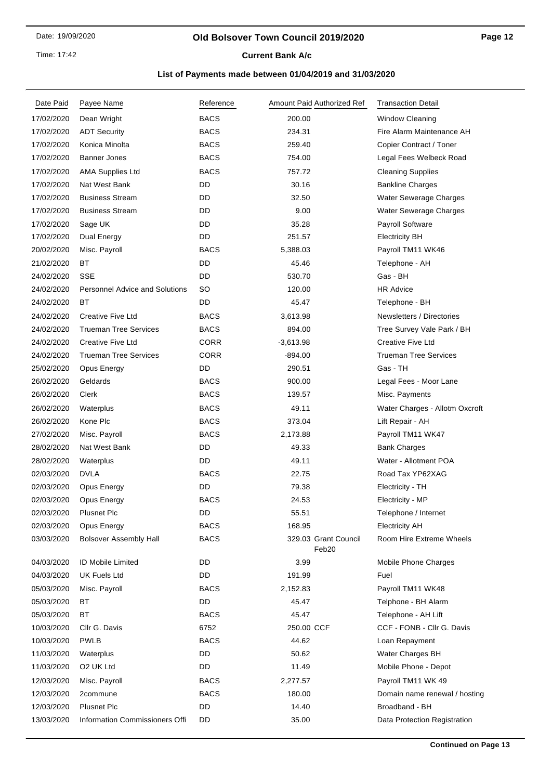### **Old Bolsover Town Council 2019/2020**

**Current Bank A/c** 

| Date Paid  | Payee Name                            | Reference   | Amount Paid Authorized Ref    | <b>Transaction Detail</b>      |
|------------|---------------------------------------|-------------|-------------------------------|--------------------------------|
| 17/02/2020 | Dean Wright                           | <b>BACS</b> | 200.00                        | <b>Window Cleaning</b>         |
| 17/02/2020 | <b>ADT Security</b>                   | <b>BACS</b> | 234.31                        | Fire Alarm Maintenance AH      |
| 17/02/2020 | Konica Minolta                        | <b>BACS</b> | 259.40                        | Copier Contract / Toner        |
| 17/02/2020 | Banner Jones                          | <b>BACS</b> | 754.00                        | Legal Fees Welbeck Road        |
| 17/02/2020 | <b>AMA Supplies Ltd</b>               | <b>BACS</b> | 757.72                        | <b>Cleaning Supplies</b>       |
| 17/02/2020 | Nat West Bank                         | DD          | 30.16                         | <b>Bankline Charges</b>        |
| 17/02/2020 | <b>Business Stream</b>                | DD          | 32.50                         | Water Sewerage Charges         |
| 17/02/2020 | <b>Business Stream</b>                | DD          | 9.00                          | Water Sewerage Charges         |
| 17/02/2020 | Sage UK                               | DD          | 35.28                         | Payroll Software               |
| 17/02/2020 | <b>Dual Energy</b>                    | DD          | 251.57                        | <b>Electricity BH</b>          |
| 20/02/2020 | Misc. Payroll                         | <b>BACS</b> | 5,388.03                      | Payroll TM11 WK46              |
| 21/02/2020 | ВT                                    | DD          | 45.46                         | Telephone - AH                 |
| 24/02/2020 | <b>SSE</b>                            | DD          | 530.70                        | Gas - BH                       |
| 24/02/2020 | <b>Personnel Advice and Solutions</b> | SO          | 120.00                        | <b>HR Advice</b>               |
| 24/02/2020 | ВT                                    | DD          | 45.47                         | Telephone - BH                 |
| 24/02/2020 | <b>Creative Five Ltd</b>              | <b>BACS</b> | 3,613.98                      | Newsletters / Directories      |
| 24/02/2020 | <b>Trueman Tree Services</b>          | <b>BACS</b> | 894.00                        | Tree Survey Vale Park / BH     |
| 24/02/2020 | <b>Creative Five Ltd</b>              | <b>CORR</b> | $-3,613.98$                   | Creative Five Ltd              |
| 24/02/2020 | <b>Trueman Tree Services</b>          | <b>CORR</b> | $-894.00$                     | <b>Trueman Tree Services</b>   |
| 25/02/2020 | Opus Energy                           | DD          | 290.51                        | Gas - TH                       |
| 26/02/2020 | Geldards                              | <b>BACS</b> | 900.00                        | Legal Fees - Moor Lane         |
| 26/02/2020 | Clerk                                 | <b>BACS</b> | 139.57                        | Misc. Payments                 |
| 26/02/2020 | Waterplus                             | <b>BACS</b> | 49.11                         | Water Charges - Allotm Oxcroft |
| 26/02/2020 | Kone Plc                              | <b>BACS</b> | 373.04                        | Lift Repair - AH               |
| 27/02/2020 | Misc. Payroll                         | <b>BACS</b> | 2,173.88                      | Payroll TM11 WK47              |
| 28/02/2020 | Nat West Bank                         | DD          | 49.33                         | <b>Bank Charges</b>            |
| 28/02/2020 | Waterplus                             | DD          | 49.11                         | Water - Allotment POA          |
| 02/03/2020 | <b>DVLA</b>                           | <b>BACS</b> | 22.75                         | Road Tax YP62XAG               |
| 02/03/2020 | Opus Energy                           | DD          | 79.38                         | Electricity - TH               |
| 02/03/2020 | Opus Energy                           | <b>BACS</b> | 24.53                         | Electricity - MP               |
| 02/03/2020 | Plusnet Plc                           | DD          | 55.51                         | Telephone / Internet           |
| 02/03/2020 | Opus Energy                           | <b>BACS</b> | 168.95                        | <b>Electricity AH</b>          |
| 03/03/2020 | <b>Bolsover Assembly Hall</b>         | <b>BACS</b> | 329.03 Grant Council<br>Feb20 | Room Hire Extreme Wheels       |
| 04/03/2020 | <b>ID Mobile Limited</b>              | DD          | 3.99                          | Mobile Phone Charges           |
| 04/03/2020 | <b>UK Fuels Ltd</b>                   | DD          | 191.99                        | Fuel                           |
| 05/03/2020 | Misc. Payroll                         | <b>BACS</b> | 2,152.83                      | Payroll TM11 WK48              |
| 05/03/2020 | ВT                                    | DD          | 45.47                         | Telphone - BH Alarm            |
| 05/03/2020 | ВT                                    | <b>BACS</b> | 45.47                         | Telephone - AH Lift            |
| 10/03/2020 | Cllr G. Davis                         | 6752        | 250.00 CCF                    | CCF - FONB - Cllr G. Davis     |
| 10/03/2020 | <b>PWLB</b>                           | <b>BACS</b> | 44.62                         | Loan Repayment                 |
| 11/03/2020 | Waterplus                             | DD          | 50.62                         | Water Charges BH               |
| 11/03/2020 | O2 UK Ltd                             | DD          | 11.49                         | Mobile Phone - Depot           |
| 12/03/2020 | Misc. Payroll                         | <b>BACS</b> | 2,277.57                      | Payroll TM11 WK 49             |
| 12/03/2020 | 2commune                              | <b>BACS</b> | 180.00                        | Domain name renewal / hosting  |
| 12/03/2020 | <b>Plusnet Plc</b>                    | DD          | 14.40                         | Broadband - BH                 |
| 13/03/2020 | Information Commissioners Offi        | DD          | 35.00                         | Data Protection Registration   |
|            |                                       |             |                               |                                |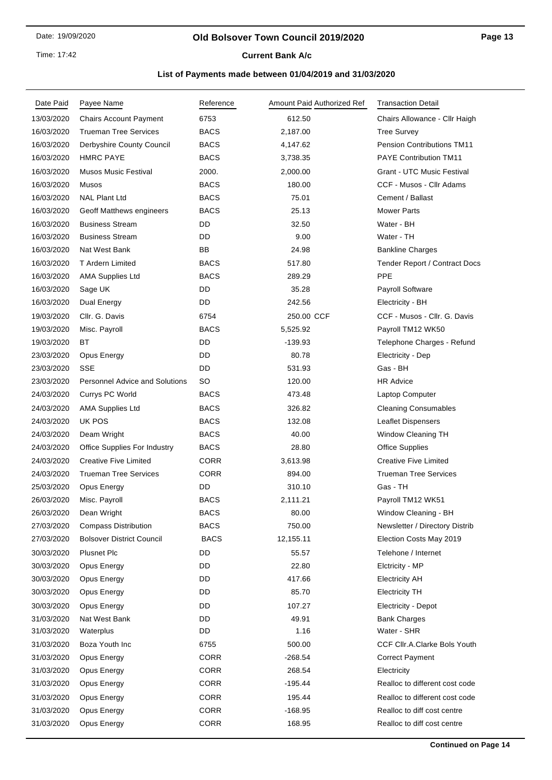### **Old Bolsover Town Council 2019/2020**

**Current Bank A/c** 

| Date Paid  | Payee Name                            | Reference   | Amount Paid Authorized Ref | <b>Transaction Detail</b>            |
|------------|---------------------------------------|-------------|----------------------------|--------------------------------------|
| 13/03/2020 | <b>Chairs Account Payment</b>         | 6753        | 612.50                     | Chairs Allowance - Cllr Haigh        |
| 16/03/2020 | <b>Trueman Tree Services</b>          | <b>BACS</b> | 2,187.00                   | <b>Tree Survey</b>                   |
| 16/03/2020 | Derbyshire County Council             | <b>BACS</b> | 4,147.62                   | <b>Pension Contributions TM11</b>    |
| 16/03/2020 | <b>HMRC PAYE</b>                      | <b>BACS</b> | 3,738.35                   | <b>PAYE Contribution TM11</b>        |
| 16/03/2020 | <b>Musos Music Festival</b>           | 2000.       | 2,000.00                   | <b>Grant - UTC Music Festival</b>    |
| 16/03/2020 | Musos                                 | <b>BACS</b> | 180.00                     | CCF - Musos - Cllr Adams             |
| 16/03/2020 | <b>NAL Plant Ltd</b>                  | <b>BACS</b> | 75.01                      | Cement / Ballast                     |
| 16/03/2020 | Geoff Matthews engineers              | <b>BACS</b> | 25.13                      | <b>Mower Parts</b>                   |
| 16/03/2020 | <b>Business Stream</b>                | DD          | 32.50                      | Water - BH                           |
| 16/03/2020 | <b>Business Stream</b>                | DD.         | 9.00                       | Water - TH                           |
| 16/03/2020 | Nat West Bank                         | BB          | 24.98                      | <b>Bankline Charges</b>              |
| 16/03/2020 | T Ardern Limited                      | <b>BACS</b> | 517.80                     | <b>Tender Report / Contract Docs</b> |
| 16/03/2020 | <b>AMA Supplies Ltd</b>               | <b>BACS</b> | 289.29                     | PPE                                  |
| 16/03/2020 | Sage UK                               | DD          | 35.28                      | Payroll Software                     |
| 16/03/2020 | Dual Energy                           | DD          | 242.56                     | Electricity - BH                     |
| 19/03/2020 | Cllr. G. Davis                        | 6754        | 250.00 CCF                 | CCF - Musos - Cllr. G. Davis         |
| 19/03/2020 | Misc. Payroll                         | <b>BACS</b> | 5,525.92                   | Payroll TM12 WK50                    |
| 19/03/2020 | ВT                                    | DD          | $-139.93$                  | Telephone Charges - Refund           |
| 23/03/2020 | Opus Energy                           | DD          | 80.78                      | Electricity - Dep                    |
| 23/03/2020 | <b>SSE</b>                            | DD          | 531.93                     | Gas - BH                             |
| 23/03/2020 | <b>Personnel Advice and Solutions</b> | SO          | 120.00                     | <b>HR Advice</b>                     |
| 24/03/2020 | Currys PC World                       | <b>BACS</b> | 473.48                     | Laptop Computer                      |
| 24/03/2020 | <b>AMA Supplies Ltd</b>               | <b>BACS</b> | 326.82                     | <b>Cleaning Consumables</b>          |
| 24/03/2020 | UK POS                                | <b>BACS</b> | 132.08                     | <b>Leaflet Dispensers</b>            |
| 24/03/2020 | Deam Wright                           | <b>BACS</b> | 40.00                      | Window Cleaning TH                   |
| 24/03/2020 | <b>Office Supplies For Industry</b>   | <b>BACS</b> | 28.80                      | <b>Office Supplies</b>               |
| 24/03/2020 | <b>Creative Five Limited</b>          | <b>CORR</b> | 3,613.98                   | <b>Creative Five Limited</b>         |
| 24/03/2020 | <b>Trueman Tree Services</b>          | <b>CORR</b> | 894.00                     | <b>Trueman Tree Services</b>         |
| 25/03/2020 | Opus Energy                           | DD          | 310.10                     | Gas - TH                             |
| 26/03/2020 | Misc. Payroll                         | <b>BACS</b> | 2,111.21                   | Payroll TM12 WK51                    |
| 26/03/2020 | Dean Wright                           | BACS        | 80.00                      | Window Cleaning - BH                 |
| 27/03/2020 | <b>Compass Distribution</b>           | <b>BACS</b> | 750.00                     | Newsletter / Directory Distrib       |
| 27/03/2020 | <b>Bolsover District Council</b>      | <b>BACS</b> | 12,155.11                  | Election Costs May 2019              |
| 30/03/2020 | <b>Plusnet Plc</b>                    | DD          | 55.57                      | Telehone / Internet                  |
| 30/03/2020 | Opus Energy                           | DD          | 22.80                      | Elctricity - MP                      |
| 30/03/2020 | Opus Energy                           | DD          | 417.66                     | <b>Electricity AH</b>                |
| 30/03/2020 | Opus Energy                           | DD          | 85.70                      | <b>Electricity TH</b>                |
| 30/03/2020 | Opus Energy                           | DD          | 107.27                     | Electricity - Depot                  |
| 31/03/2020 | Nat West Bank                         | DD          | 49.91                      | <b>Bank Charges</b>                  |
| 31/03/2020 | Waterplus                             | DD          | 1.16                       | Water - SHR                          |
| 31/03/2020 | Boza Youth Inc                        | 6755        | 500.00                     | CCF Cllr.A.Clarke Bols Youth         |
| 31/03/2020 | Opus Energy                           | <b>CORR</b> | $-268.54$                  | <b>Correct Payment</b>               |
| 31/03/2020 | Opus Energy                           | <b>CORR</b> | 268.54                     | Electricity                          |
| 31/03/2020 | Opus Energy                           | <b>CORR</b> | $-195.44$                  | Realloc to different cost code       |
| 31/03/2020 | Opus Energy                           | <b>CORR</b> | 195.44                     | Realloc to different cost code       |
| 31/03/2020 | Opus Energy                           | <b>CORR</b> | $-168.95$                  | Realloc to diff cost centre          |
| 31/03/2020 | Opus Energy                           | CORR        | 168.95                     | Realloc to diff cost centre          |